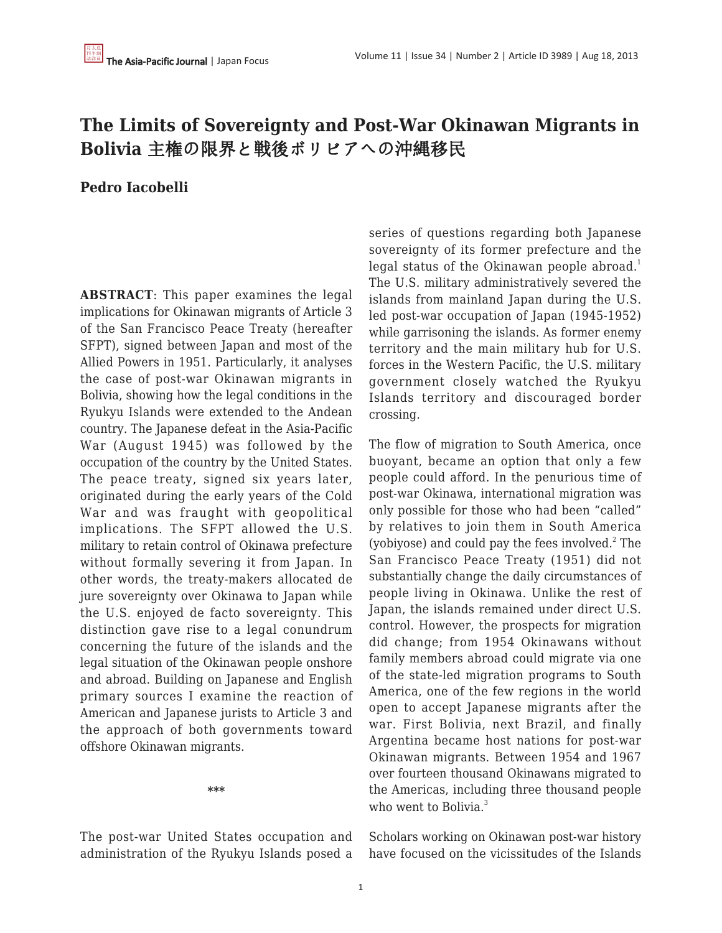# **The Limits of Sovereignty and Post-War Okinawan Migrants in Bolivia** 主権の限界と戦後ボリビアへの沖縄移民

#### **Pedro Iacobelli**

**ABSTRACT**: This paper examines the legal implications for Okinawan migrants of Article 3 of the San Francisco Peace Treaty (hereafter SFPT), signed between Japan and most of the Allied Powers in 1951. Particularly, it analyses the case of post-war Okinawan migrants in Bolivia, showing how the legal conditions in the Ryukyu Islands were extended to the Andean country. The Japanese defeat in the Asia-Pacific War (August 1945) was followed by the occupation of the country by the United States. The peace treaty, signed six years later, originated during the early years of the Cold War and was fraught with geopolitical implications. The SFPT allowed the U.S. military to retain control of Okinawa prefecture without formally severing it from Japan. In other words, the treaty-makers allocated de jure sovereignty over Okinawa to Japan while the U.S. enjoyed de facto sovereignty. This distinction gave rise to a legal conundrum concerning the future of the islands and the legal situation of the Okinawan people onshore and abroad. Building on Japanese and English primary sources I examine the reaction of American and Japanese jurists to Article 3 and the approach of both governments toward offshore Okinawan migrants.

**\*\*\***

The post-war United States occupation and administration of the Ryukyu Islands posed a series of questions regarding both Japanese sovereignty of its former prefecture and the legal status of the Okinawan people abroad.<sup>1</sup> The U.S. military administratively severed the islands from mainland Japan during the U.S. led post-war occupation of Japan (1945-1952) while garrisoning the islands. As former enemy territory and the main military hub for U.S. forces in the Western Pacific, the U.S. military government closely watched the Ryukyu Islands territory and discouraged border crossing.

The flow of migration to South America, once buoyant, became an option that only a few people could afford. In the penurious time of post-war Okinawa, international migration was only possible for those who had been "called" by relatives to join them in South America (yobiyose) and could pay the fees involved. $2$  The San Francisco Peace Treaty (1951) did not substantially change the daily circumstances of people living in Okinawa. Unlike the rest of Japan, the islands remained under direct U.S. control. However, the prospects for migration did change; from 1954 Okinawans without family members abroad could migrate via one of the state-led migration programs to South America, one of the few regions in the world open to accept Japanese migrants after the war. First Bolivia, next Brazil, and finally Argentina became host nations for post-war Okinawan migrants. Between 1954 and 1967 over fourteen thousand Okinawans migrated to the Americas, including three thousand people who went to Bolivia. $3$ 

Scholars working on Okinawan post-war history have focused on the vicissitudes of the Islands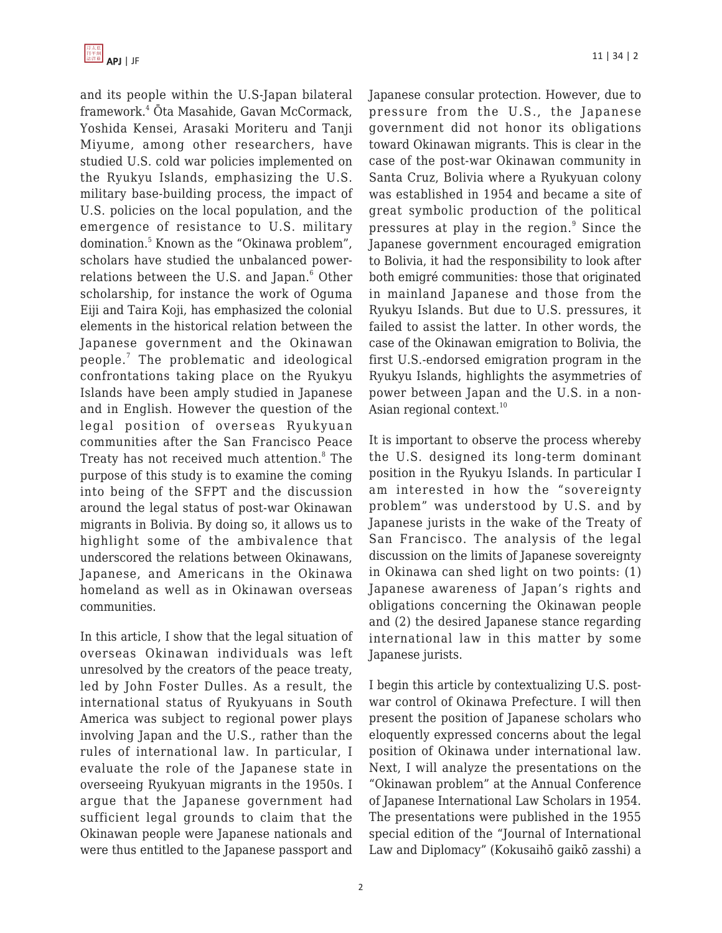and its people within the U.S-Japan bilateral framework.<sup>4</sup> Ōta Masahide, Gavan McCormack, Yoshida Kensei, Arasaki Moriteru and Tanji Miyume, among other researchers, have studied U.S. cold war policies implemented on the Ryukyu Islands, emphasizing the U.S. military base-building process, the impact of U.S. policies on the local population, and the emergence of resistance to U.S. military domination.<sup>5</sup> Known as the "Okinawa problem", scholars have studied the unbalanced powerrelations between the U.S. and Japan. $^{\rm 6}$  Other scholarship, for instance the work of Oguma Eiji and Taira Koji, has emphasized the colonial elements in the historical relation between the Japanese government and the Okinawan people.<sup>7</sup> The problematic and ideological confrontations taking place on the Ryukyu Islands have been amply studied in Japanese and in English. However the question of the legal position of overseas Ryukyuan communities after the San Francisco Peace Treaty has not received much attention.<sup>8</sup> The purpose of this study is to examine the coming into being of the SFPT and the discussion around the legal status of post-war Okinawan migrants in Bolivia. By doing so, it allows us to highlight some of the ambivalence that underscored the relations between Okinawans, Japanese, and Americans in the Okinawa homeland as well as in Okinawan overseas communities.

In this article, I show that the legal situation of overseas Okinawan individuals was left unresolved by the creators of the peace treaty, led by John Foster Dulles. As a result, the international status of Ryukyuans in South America was subject to regional power plays involving Japan and the U.S., rather than the rules of international law. In particular, I evaluate the role of the Japanese state in overseeing Ryukyuan migrants in the 1950s. I argue that the Japanese government had sufficient legal grounds to claim that the Okinawan people were Japanese nationals and were thus entitled to the Japanese passport and Japanese consular protection. However, due to pressure from the U.S., the Japanese government did not honor its obligations toward Okinawan migrants. This is clear in the case of the post-war Okinawan community in Santa Cruz, Bolivia where a Ryukyuan colony was established in 1954 and became a site of great symbolic production of the political pressures at play in the region.<sup>9</sup> Since the Japanese government encouraged emigration to Bolivia, it had the responsibility to look after both emigré communities: those that originated in mainland Japanese and those from the Ryukyu Islands. But due to U.S. pressures, it failed to assist the latter. In other words, the case of the Okinawan emigration to Bolivia, the first U.S.-endorsed emigration program in the Ryukyu Islands, highlights the asymmetries of power between Japan and the U.S. in a non-Asian regional context.<sup>10</sup>

It is important to observe the process whereby the U.S. designed its long-term dominant position in the Ryukyu Islands. In particular I am interested in how the "sovereignty problem" was understood by U.S. and by Japanese jurists in the wake of the Treaty of San Francisco. The analysis of the legal discussion on the limits of Japanese sovereignty in Okinawa can shed light on two points: (1) Japanese awareness of Japan's rights and obligations concerning the Okinawan people and (2) the desired Japanese stance regarding international law in this matter by some Japanese jurists.

I begin this article by contextualizing U.S. postwar control of Okinawa Prefecture. I will then present the position of Japanese scholars who eloquently expressed concerns about the legal position of Okinawa under international law. Next, I will analyze the presentations on the "Okinawan problem" at the Annual Conference of Japanese International Law Scholars in 1954. The presentations were published in the 1955 special edition of the "Journal of International Law and Diplomacy" (Kokusaihō gaikō zasshi) a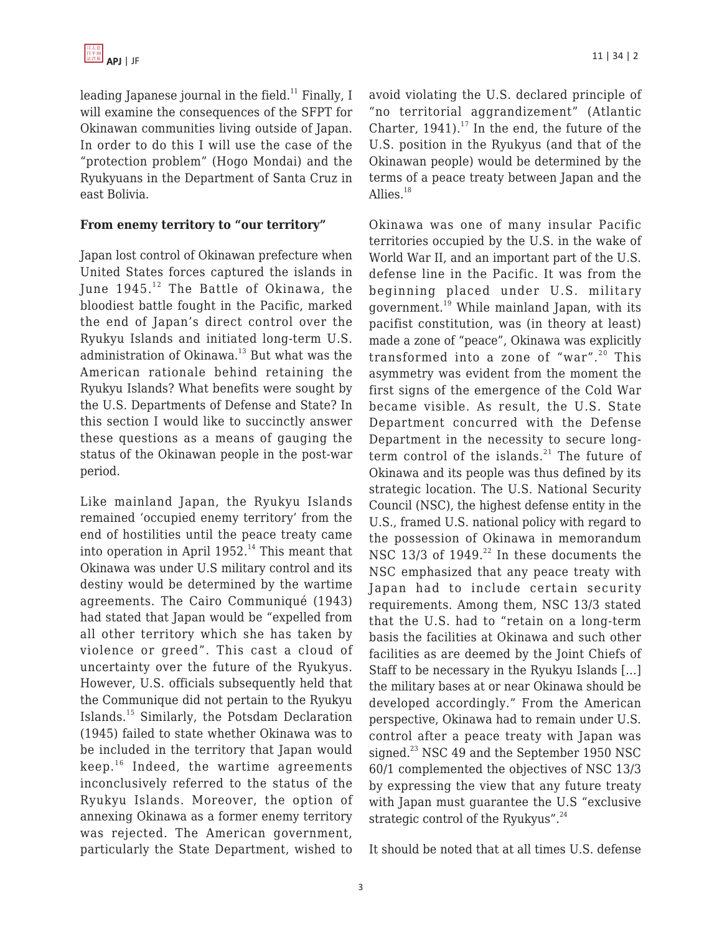leading Japanese journal in the field.<sup>11</sup> Finally, I will examine the consequences of the SFPT for Okinawan communities living outside of Japan. In order to do this I will use the case of the "protection problem" (Hogo Mondai) and the Ryukyuans in the Department of Santa Cruz in east Bolivia.

#### **From enemy territory to "our territory"**

Japan lost control of Okinawan prefecture when United States forces captured the islands in June  $1945.<sup>12</sup>$  The Battle of Okinawa, the bloodiest battle fought in the Pacific, marked the end of Japan's direct control over the Ryukyu Islands and initiated long-term U.S. administration of Okinawa.<sup>13</sup> But what was the American rationale behind retaining the Ryukyu Islands? What benefits were sought by the U.S. Departments of Defense and State? In this section I would like to succinctly answer these questions as a means of gauging the status of the Okinawan people in the post-war period.

Like mainland Japan, the Ryukyu Islands remained 'occupied enemy territory' from the end of hostilities until the peace treaty came into operation in April  $1952.<sup>14</sup>$  This meant that Okinawa was under U.S military control and its destiny would be determined by the wartime agreements. The Cairo Communiqué (1943) had stated that Japan would be "expelled from all other territory which she has taken by violence or greed". This cast a cloud of uncertainty over the future of the Ryukyus. However, U.S. officials subsequently held that the Communique did not pertain to the Ryukyu Islands.<sup>15</sup> Similarly, the Potsdam Declaration (1945) failed to state whether Okinawa was to be included in the territory that Japan would  $keep.^{16}$  Indeed, the wartime agreements inconclusively referred to the status of the Ryukyu Islands. Moreover, the option of annexing Okinawa as a former enemy territory was rejected. The American government, particularly the State Department, wished to avoid violating the U.S. declared principle of "no territorial aggrandizement" (Atlantic Charter,  $1941$ ).<sup>17</sup> In the end, the future of the U.S. position in the Ryukyus (and that of the Okinawan people) would be determined by the terms of a peace treaty between Japan and the Allies. $18$ 

Okinawa was one of many insular Pacific territories occupied by the U.S. in the wake of World War II, and an important part of the U.S. defense line in the Pacific. It was from the beginning placed under U.S. military government.<sup>19</sup> While mainland Japan, with its pacifist constitution, was (in theory at least) made a zone of "peace", Okinawa was explicitly transformed into a zone of "war". $20$  This asymmetry was evident from the moment the first signs of the emergence of the Cold War became visible. As result, the U.S. State Department concurred with the Defense Department in the necessity to secure longterm control of the islands. $^{21}$  The future of Okinawa and its people was thus defined by its strategic location. The U.S. National Security Council (NSC), the highest defense entity in the U.S., framed U.S. national policy with regard to the possession of Okinawa in memorandum NSC 13/3 of 1949. $^{22}$  In these documents the NSC emphasized that any peace treaty with Japan had to include certain security requirements. Among them, NSC 13/3 stated that the U.S. had to "retain on a long-term basis the facilities at Okinawa and such other facilities as are deemed by the Joint Chiefs of Staff to be necessary in the Ryukyu Islands […] the military bases at or near Okinawa should be developed accordingly." From the American perspective, Okinawa had to remain under U.S. control after a peace treaty with Japan was signed.<sup>23</sup> NSC 49 and the September 1950 NSC 60/1 complemented the objectives of NSC 13/3 by expressing the view that any future treaty with Japan must guarantee the U.S "exclusive strategic control of the Ryukyus". $24$ 

It should be noted that at all times U.S. defense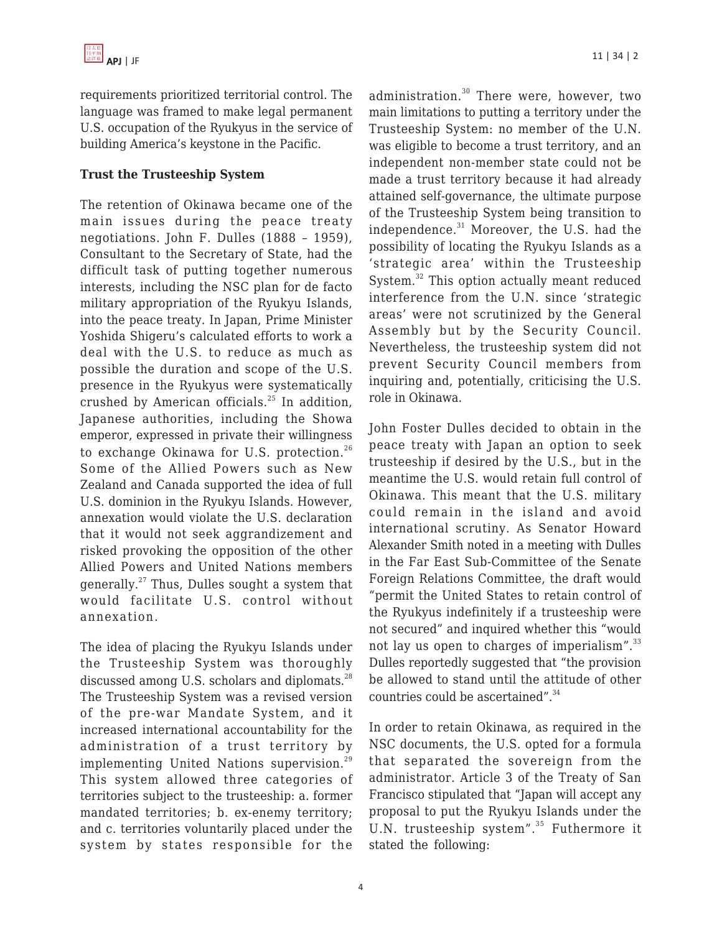requirements prioritized territorial control. The language was framed to make legal permanent U.S. occupation of the Ryukyus in the service of building America's keystone in the Pacific.

#### **Trust the Trusteeship System**

The retention of Okinawa became one of the main issues during the peace treaty negotiations. John F. Dulles (1888 – 1959), Consultant to the Secretary of State, had the difficult task of putting together numerous interests, including the NSC plan for de facto military appropriation of the Ryukyu Islands, into the peace treaty. In Japan, Prime Minister Yoshida Shigeru's calculated efforts to work a deal with the U.S. to reduce as much as possible the duration and scope of the U.S. presence in the Ryukyus were systematically crushed by American officials.<sup>25</sup> In addition, Japanese authorities, including the Showa emperor, expressed in private their willingness to exchange Okinawa for U.S. protection.<sup>26</sup> Some of the Allied Powers such as New Zealand and Canada supported the idea of full U.S. dominion in the Ryukyu Islands. However, annexation would violate the U.S. declaration that it would not seek aggrandizement and risked provoking the opposition of the other Allied Powers and United Nations members generally.<sup>27</sup> Thus, Dulles sought a system that would facilitate U.S. control without annexation.

The idea of placing the Ryukyu Islands under the Trusteeship System was thoroughly discussed among U.S. scholars and diplomats.<sup>28</sup> The Trusteeship System was a revised version of the pre-war Mandate System, and it increased international accountability for the administration of a trust territory by implementing United Nations supervision.<sup>29</sup> This system allowed three categories of territories subject to the trusteeship: a. former mandated territories; b. ex-enemy territory; and c. territories voluntarily placed under the system by states responsible for the

administration.<sup>30</sup> There were, however, two main limitations to putting a territory under the Trusteeship System: no member of the U.N. was eligible to become a trust territory, and an independent non-member state could not be made a trust territory because it had already attained self-governance, the ultimate purpose of the Trusteeship System being transition to independence.<sup>31</sup> Moreover, the U.S. had the possibility of locating the Ryukyu Islands as a 'strategic area' within the Trusteeship System.<sup>32</sup> This option actually meant reduced interference from the U.N. since 'strategic areas' were not scrutinized by the General Assembly but by the Security Council. Nevertheless, the trusteeship system did not prevent Security Council members from inquiring and, potentially, criticising the U.S. role in Okinawa.

John Foster Dulles decided to obtain in the peace treaty with Japan an option to seek trusteeship if desired by the U.S., but in the meantime the U.S. would retain full control of Okinawa. This meant that the U.S. military could remain in the island and avoid international scrutiny. As Senator Howard Alexander Smith noted in a meeting with Dulles in the Far East Sub-Committee of the Senate Foreign Relations Committee, the draft would "permit the United States to retain control of the Ryukyus indefinitely if a trusteeship were not secured" and inquired whether this "would not lay us open to charges of imperialism". $33$ Dulles reportedly suggested that "the provision be allowed to stand until the attitude of other countries could be ascertained".<sup>34</sup>

In order to retain Okinawa, as required in the NSC documents, the U.S. opted for a formula that separated the sovereign from the administrator. Article 3 of the Treaty of San Francisco stipulated that "Japan will accept any proposal to put the Ryukyu Islands under the U.N. trusteeship system".<sup>35</sup> Futhermore it stated the following: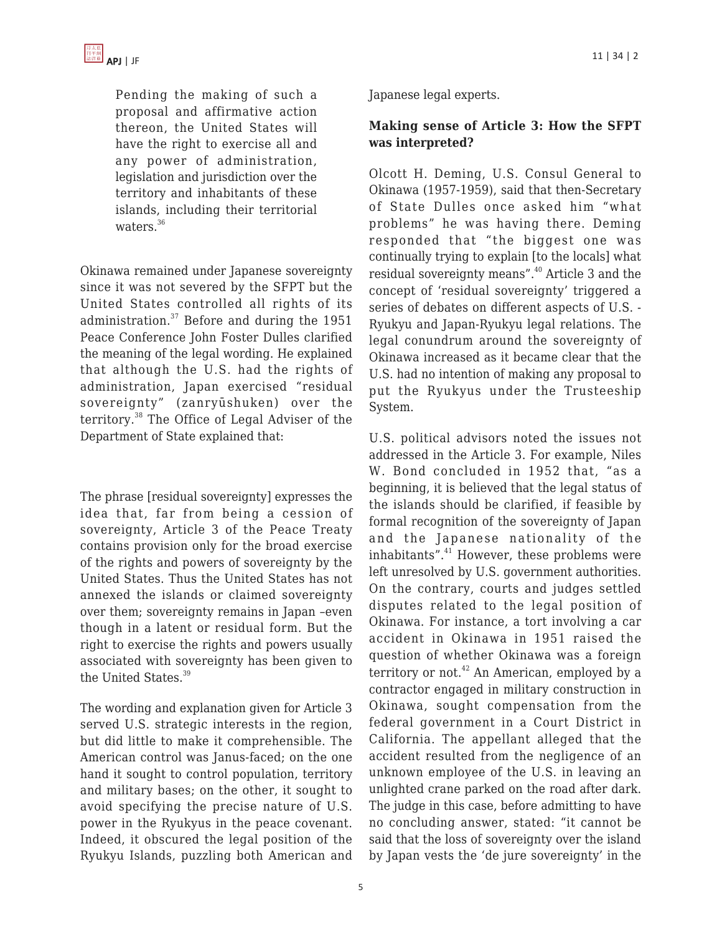

Pending the making of such a proposal and affirmative action thereon, the United States will have the right to exercise all and any power of administration, legislation and jurisdiction over the territory and inhabitants of these islands, including their territorial waters.<sup>36</sup>

Okinawa remained under Japanese sovereignty since it was not severed by the SFPT but the United States controlled all rights of its administration.<sup>37</sup> Before and during the 1951 Peace Conference John Foster Dulles clarified the meaning of the legal wording. He explained that although the U.S. had the rights of administration, Japan exercised "residual sovereignty" (zanryūshuken) over the territory.<sup>38</sup> The Office of Legal Adviser of the Department of State explained that:

The phrase [residual sovereignty] expresses the idea that, far from being a cession of sovereignty, Article 3 of the Peace Treaty contains provision only for the broad exercise of the rights and powers of sovereignty by the United States. Thus the United States has not annexed the islands or claimed sovereignty over them; sovereignty remains in Japan –even though in a latent or residual form. But the right to exercise the rights and powers usually associated with sovereignty has been given to the United States.<sup>39</sup>

The wording and explanation given for Article 3 served U.S. strategic interests in the region, but did little to make it comprehensible. The American control was Janus-faced; on the one hand it sought to control population, territory and military bases; on the other, it sought to avoid specifying the precise nature of U.S. power in the Ryukyus in the peace covenant. Indeed, it obscured the legal position of the Ryukyu Islands, puzzling both American and Japanese legal experts.

#### **Making sense of Article 3: How the SFPT was interpreted?**

Olcott H. Deming, U.S. Consul General to Okinawa (1957-1959), said that then-Secretary of State Dulles once asked him "what problems" he was having there. Deming responded that "the biggest one was continually trying to explain [to the locals] what residual sovereignty means".<sup>40</sup> Article 3 and the concept of 'residual sovereignty' triggered a series of debates on different aspects of U.S. - Ryukyu and Japan-Ryukyu legal relations. The legal conundrum around the sovereignty of Okinawa increased as it became clear that the U.S. had no intention of making any proposal to put the Ryukyus under the Trusteeship System.

U.S. political advisors noted the issues not addressed in the Article 3. For example, Niles W. Bond concluded in 1952 that, "as a beginning, it is believed that the legal status of the islands should be clarified, if feasible by formal recognition of the sovereignty of Japan and the Japanese nationality of the inhabitants". $41$  However, these problems were left unresolved by U.S. government authorities. On the contrary, courts and judges settled disputes related to the legal position of Okinawa. For instance, a tort involving a car accident in Okinawa in 1951 raised the question of whether Okinawa was a foreign territory or not. $42$  An American, employed by a contractor engaged in military construction in Okinawa, sought compensation from the federal government in a Court District in California. The appellant alleged that the accident resulted from the negligence of an unknown employee of the U.S. in leaving an unlighted crane parked on the road after dark. The judge in this case, before admitting to have no concluding answer, stated: "it cannot be said that the loss of sovereignty over the island by Japan vests the 'de jure sovereignty' in the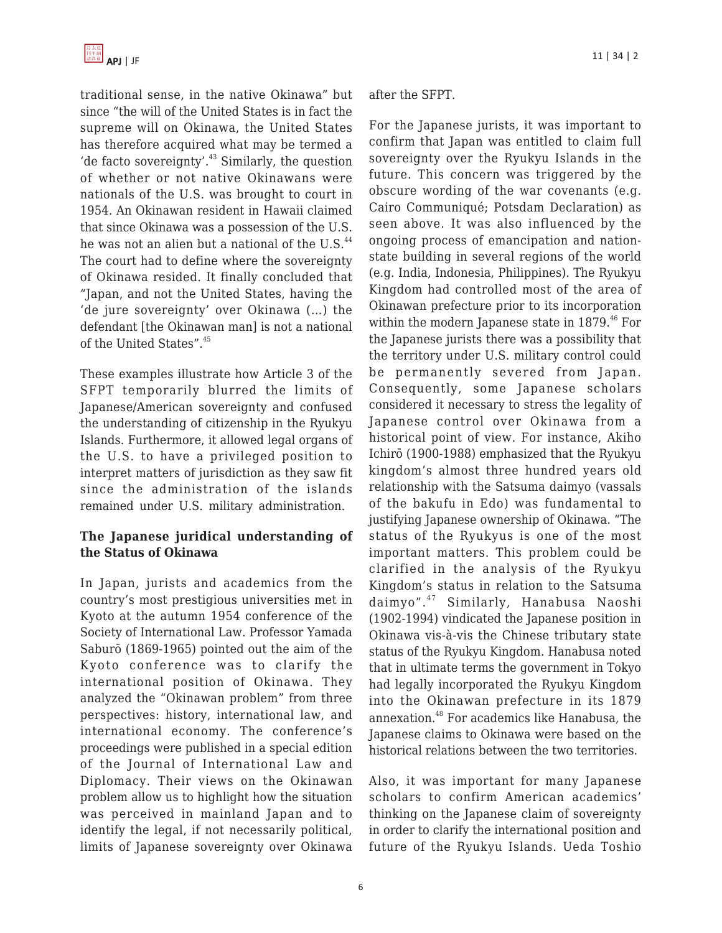traditional sense, in the native Okinawa" but since "the will of the United States is in fact the supreme will on Okinawa, the United States has therefore acquired what may be termed a 'de facto sovereignty'.<sup>43</sup> Similarly, the question of whether or not native Okinawans were nationals of the U.S. was brought to court in 1954. An Okinawan resident in Hawaii claimed that since Okinawa was a possession of the U.S. he was not an alien but a national of the U.S.<sup>44</sup> The court had to define where the sovereignty of Okinawa resided. It finally concluded that "Japan, and not the United States, having the 'de jure sovereignty' over Okinawa (…) the defendant [the Okinawan man] is not a national of the United States".<sup>45</sup>

These examples illustrate how Article 3 of the SFPT temporarily blurred the limits of Japanese/American sovereignty and confused the understanding of citizenship in the Ryukyu Islands. Furthermore, it allowed legal organs of the U.S. to have a privileged position to interpret matters of jurisdiction as they saw fit since the administration of the islands remained under U.S. military administration.

#### **The Japanese juridical understanding of the Status of Okinawa**

In Japan, jurists and academics from the country's most prestigious universities met in Kyoto at the autumn 1954 conference of the Society of International Law. Professor Yamada Saburō (1869-1965) pointed out the aim of the Kyoto conference was to clarify the international position of Okinawa. They analyzed the "Okinawan problem" from three perspectives: history, international law, and international economy. The conference's proceedings were published in a special edition of the Journal of International Law and Diplomacy. Their views on the Okinawan problem allow us to highlight how the situation was perceived in mainland Japan and to identify the legal, if not necessarily political, limits of Japanese sovereignty over Okinawa

after the SFPT.

For the Japanese jurists, it was important to confirm that Japan was entitled to claim full sovereignty over the Ryukyu Islands in the future. This concern was triggered by the obscure wording of the war covenants (e.g. Cairo Communiqué; Potsdam Declaration) as seen above. It was also influenced by the ongoing process of emancipation and nationstate building in several regions of the world (e.g. India, Indonesia, Philippines). The Ryukyu Kingdom had controlled most of the area of Okinawan prefecture prior to its incorporation within the modern Japanese state in  $1879.^{46}$  For the Japanese jurists there was a possibility that the territory under U.S. military control could be permanently severed from Japan. Consequently, some Japanese scholars considered it necessary to stress the legality of Japanese control over Okinawa from a historical point of view. For instance, Akiho Ichirō (1900-1988) emphasized that the Ryukyu kingdom's almost three hundred years old relationship with the Satsuma daimyo (vassals of the bakufu in Edo) was fundamental to justifying Japanese ownership of Okinawa. "The status of the Ryukyus is one of the most important matters. This problem could be clarified in the analysis of the Ryukyu Kingdom's status in relation to the Satsuma daimyo".<sup>47</sup> Similarly, Hanabusa Naoshi (1902-1994) vindicated the Japanese position in Okinawa vis-à-vis the Chinese tributary state status of the Ryukyu Kingdom. Hanabusa noted that in ultimate terms the government in Tokyo had legally incorporated the Ryukyu Kingdom into the Okinawan prefecture in its 1879 annexation.<sup>48</sup> For academics like Hanabusa, the Japanese claims to Okinawa were based on the historical relations between the two territories.

Also, it was important for many Japanese scholars to confirm American academics' thinking on the Japanese claim of sovereignty in order to clarify the international position and future of the Ryukyu Islands. Ueda Toshio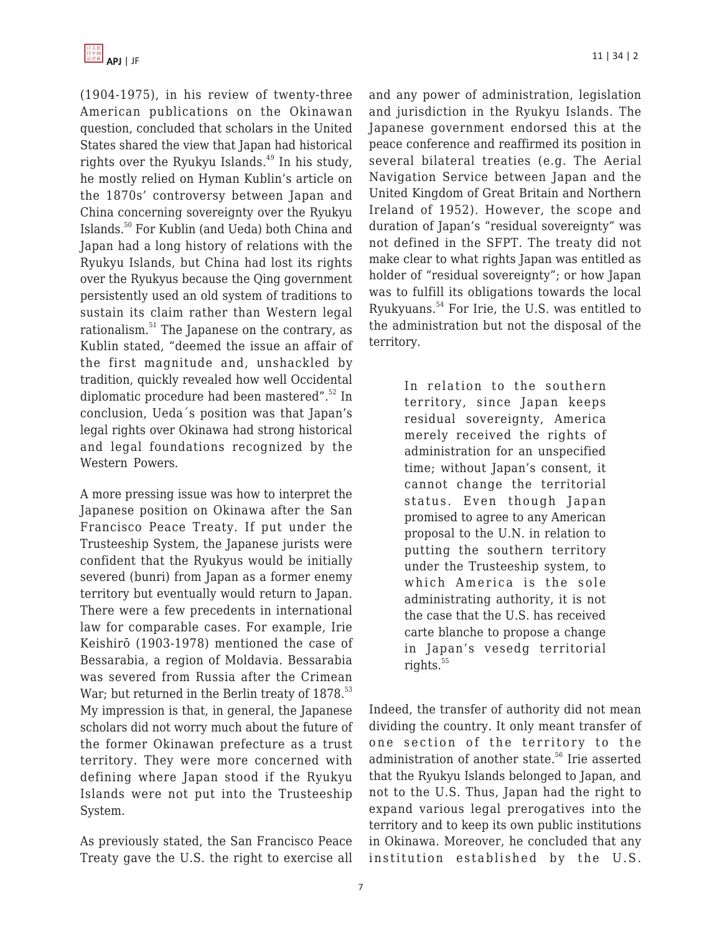(1904-1975), in his review of twenty-three American publications on the Okinawan question, concluded that scholars in the United States shared the view that Japan had historical rights over the Ryukyu Islands. $49$  In his study, he mostly relied on Hyman Kublin's article on the 1870s' controversy between Japan and China concerning sovereignty over the Ryukyu Islands.<sup>50</sup> For Kublin (and Ueda) both China and Japan had a long history of relations with the Ryukyu Islands, but China had lost its rights over the Ryukyus because the Qing government persistently used an old system of traditions to sustain its claim rather than Western legal rationalism.<sup>51</sup> The Japanese on the contrary, as Kublin stated, "deemed the issue an affair of the first magnitude and, unshackled by tradition, quickly revealed how well Occidental diplomatic procedure had been mastered".<sup>52</sup> In conclusion, Ueda´s position was that Japan's legal rights over Okinawa had strong historical and legal foundations recognized by the Western Powers.

A more pressing issue was how to interpret the Japanese position on Okinawa after the San Francisco Peace Treaty. If put under the Trusteeship System, the Japanese jurists were confident that the Ryukyus would be initially severed (bunri) from Japan as a former enemy territory but eventually would return to Japan. There were a few precedents in international law for comparable cases. For example, Irie Keishirō (1903-1978) mentioned the case of Bessarabia, a region of Moldavia. Bessarabia was severed from Russia after the Crimean War; but returned in the Berlin treaty of 1878.<sup>53</sup> My impression is that, in general, the Japanese scholars did not worry much about the future of the former Okinawan prefecture as a trust territory. They were more concerned with defining where Japan stood if the Ryukyu Islands were not put into the Trusteeship System.

As previously stated, the San Francisco Peace Treaty gave the U.S. the right to exercise all and any power of administration, legislation and jurisdiction in the Ryukyu Islands. The Japanese government endorsed this at the peace conference and reaffirmed its position in several bilateral treaties (e.g. The Aerial Navigation Service between Japan and the United Kingdom of Great Britain and Northern Ireland of 1952). However, the scope and duration of Japan's "residual sovereignty" was not defined in the SFPT. The treaty did not make clear to what rights Japan was entitled as holder of "residual sovereignty"; or how Japan was to fulfill its obligations towards the local Ryukyuans.<sup>54</sup> For Irie, the U.S. was entitled to the administration but not the disposal of the territory.

> In relation to the southern territory, since Japan keeps residual sovereignty, America merely received the rights of administration for an unspecified time; without Japan's consent, it cannot change the territorial status. Even though Japan promised to agree to any American proposal to the U.N. in relation to putting the southern territory under the Trusteeship system, to which America is the sole administrating authority, it is not the case that the U.S. has received carte blanche to propose a change in Japan's vesedg territorial rights. $55$

Indeed, the transfer of authority did not mean dividing the country. It only meant transfer of one section of the territory to the administration of another state.<sup>56</sup> Irie asserted that the Ryukyu Islands belonged to Japan, and not to the U.S. Thus, Japan had the right to expand various legal prerogatives into the territory and to keep its own public institutions in Okinawa. Moreover, he concluded that any institution established by the U.S.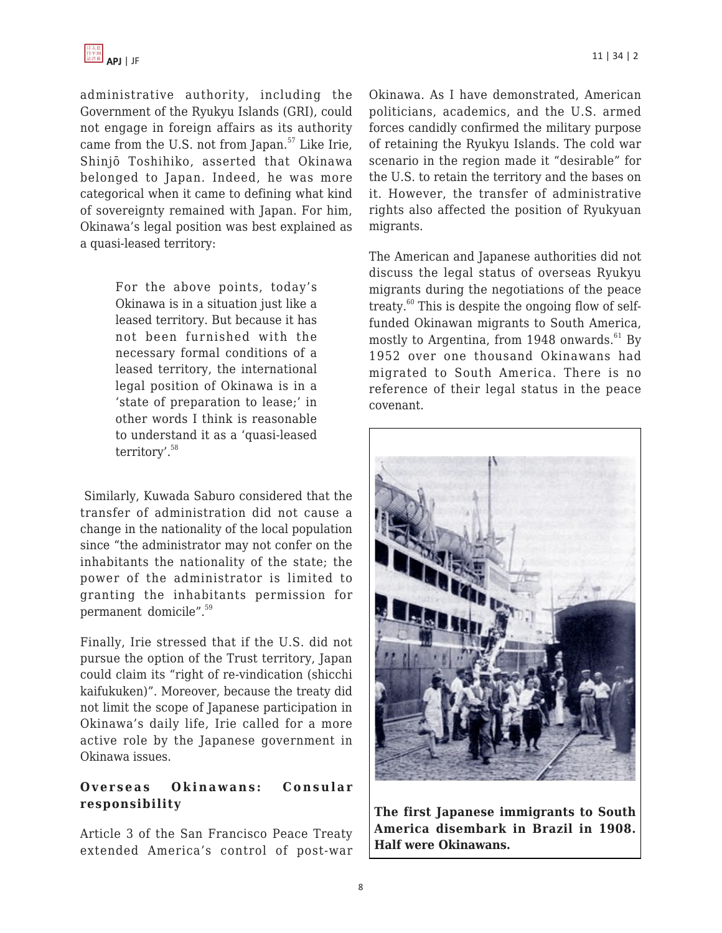

administrative authority, including the Government of the Ryukyu Islands (GRI), could not engage in foreign affairs as its authority came from the U.S. not from Japan.<sup>57</sup> Like Irie, Shinjō Toshihiko, asserted that Okinawa belonged to Japan. Indeed, he was more categorical when it came to defining what kind of sovereignty remained with Japan. For him, Okinawa's legal position was best explained as a quasi-leased territory:

> For the above points, today's Okinawa is in a situation just like a leased territory. But because it has not been furnished with the necessary formal conditions of a leased territory, the international legal position of Okinawa is in a 'state of preparation to lease;' in other words I think is reasonable to understand it as a 'quasi-leased territory'.<sup>58</sup>

 Similarly, Kuwada Saburo considered that the transfer of administration did not cause a change in the nationality of the local population since "the administrator may not confer on the inhabitants the nationality of the state; the power of the administrator is limited to granting the inhabitants permission for permanent domicile".<sup>59</sup>

Finally, Irie stressed that if the U.S. did not pursue the option of the Trust territory, Japan could claim its "right of re-vindication (shicchi kaifukuken)". Moreover, because the treaty did not limit the scope of Japanese participation in Okinawa's daily life, Irie called for a more active role by the Japanese government in Okinawa issues.

#### **Overseas Okinawans: Consular responsibility**

Article 3 of the San Francisco Peace Treaty extended America's control of post-war Okinawa. As I have demonstrated, American politicians, academics, and the U.S. armed forces candidly confirmed the military purpose of retaining the Ryukyu Islands. The cold war scenario in the region made it "desirable" for the U.S. to retain the territory and the bases on it. However, the transfer of administrative rights also affected the position of Ryukyuan migrants.

The American and Japanese authorities did not discuss the legal status of overseas Ryukyu migrants during the negotiations of the peace treaty. $60$  This is despite the ongoing flow of selffunded Okinawan migrants to South America, mostly to Argentina, from 1948 onwards. $61$  By 1952 over one thousand Okinawans had migrated to South America. There is no reference of their legal status in the peace covenant.



**The first Japanese immigrants to South America disembark in Brazil in 1908. Half were Okinawans.**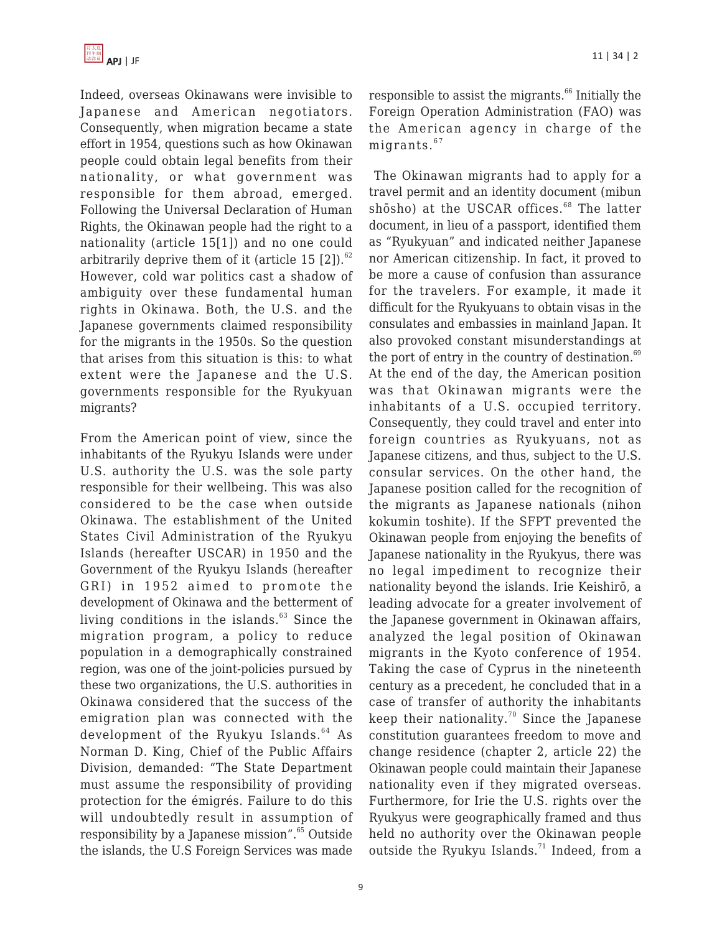

Indeed, overseas Okinawans were invisible to Japanese and American negotiators. Consequently, when migration became a state effort in 1954, questions such as how Okinawan people could obtain legal benefits from their nationality, or what government was responsible for them abroad, emerged. Following the Universal Declaration of Human Rights, the Okinawan people had the right to a nationality (article 15[1]) and no one could arbitrarily deprive them of it (article 15  $[2]$ ).<sup>62</sup> However, cold war politics cast a shadow of ambiguity over these fundamental human rights in Okinawa. Both, the U.S. and the Japanese governments claimed responsibility for the migrants in the 1950s. So the question that arises from this situation is this: to what extent were the Japanese and the U.S. governments responsible for the Ryukyuan migrants?

From the American point of view, since the inhabitants of the Ryukyu Islands were under U.S. authority the U.S. was the sole party responsible for their wellbeing. This was also considered to be the case when outside Okinawa. The establishment of the United States Civil Administration of the Ryukyu Islands (hereafter USCAR) in 1950 and the Government of the Ryukyu Islands (hereafter GRI) in 1952 aimed to promote the development of Okinawa and the betterment of living conditions in the islands. $63$  Since the migration program, a policy to reduce population in a demographically constrained region, was one of the joint-policies pursued by these two organizations, the U.S. authorities in Okinawa considered that the success of the emigration plan was connected with the development of the Ryukyu Islands.<sup>64</sup> As Norman D. King, Chief of the Public Affairs Division, demanded: "The State Department must assume the responsibility of providing protection for the émigrés. Failure to do this will undoubtedly result in assumption of responsibility by a Japanese mission".<sup>65</sup> Outside the islands, the U.S Foreign Services was made

no legal impediment to recognize their nationality beyond the islands. Irie Keishirō, a leading advocate for a greater involvement of the Japanese government in Okinawan affairs, analyzed the legal position of Okinawan migrants in the Kyoto conference of 1954. Taking the case of Cyprus in the nineteenth century as a precedent, he concluded that in a case of transfer of authority the inhabitants keep their nationality.<sup>70</sup> Since the Japanese constitution guarantees freedom to move and change residence (chapter 2, article 22) the Okinawan people could maintain their Japanese nationality even if they migrated overseas. Furthermore, for Irie the U.S. rights over the Ryukyus were geographically framed and thus held no authority over the Okinawan people outside the Ryukyu Islands.<sup>71</sup> Indeed, from a

responsible to assist the migrants. $66$  Initially the Foreign Operation Administration (FAO) was the American agency in charge of the migrants. $67$ 

 The Okinawan migrants had to apply for a travel permit and an identity document (mibun shōsho) at the USCAR offices.<sup>68</sup> The latter document, in lieu of a passport, identified them as "Ryukyuan" and indicated neither Japanese nor American citizenship. In fact, it proved to be more a cause of confusion than assurance for the travelers. For example, it made it difficult for the Ryukyuans to obtain visas in the consulates and embassies in mainland Japan. It also provoked constant misunderstandings at the port of entry in the country of destination. $69$ At the end of the day, the American position was that Okinawan migrants were the inhabitants of a U.S. occupied territory. Consequently, they could travel and enter into foreign countries as Ryukyuans, not as Japanese citizens, and thus, subject to the U.S. consular services. On the other hand, the Japanese position called for the recognition of the migrants as Japanese nationals (nihon kokumin toshite). If the SFPT prevented the Okinawan people from enjoying the benefits of Japanese nationality in the Ryukyus, there was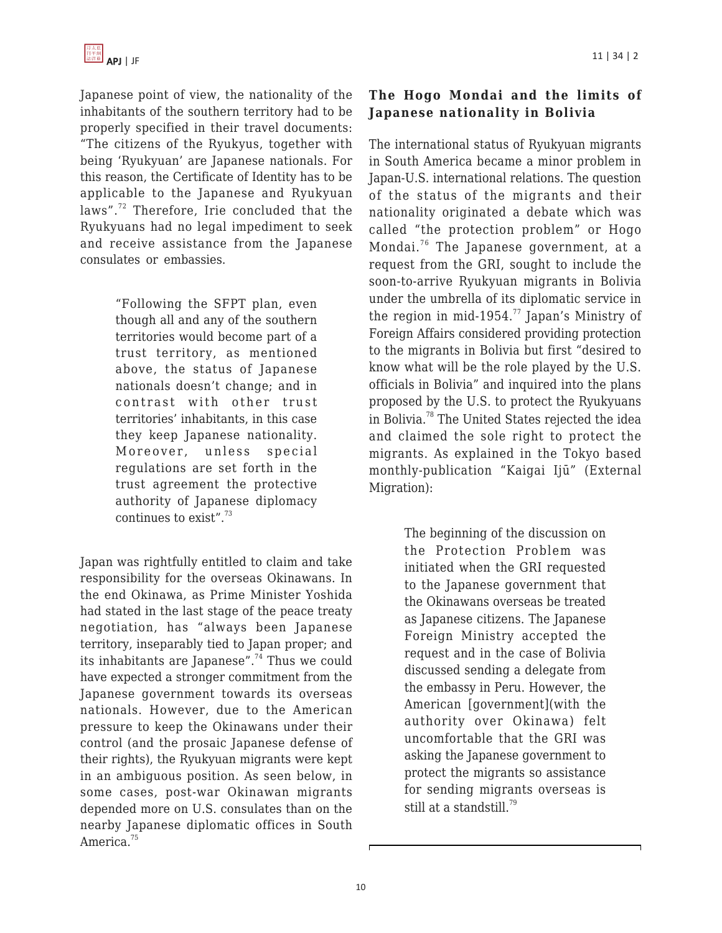Japanese point of view, the nationality of the inhabitants of the southern territory had to be properly specified in their travel documents: "The citizens of the Ryukyus, together with being 'Ryukyuan' are Japanese nationals. For this reason, the Certificate of Identity has to be applicable to the Japanese and Ryukyuan laws".<sup>72</sup> Therefore, Irie concluded that the Ryukyuans had no legal impediment to seek and receive assistance from the Japanese consulates or embassies.

> "Following the SFPT plan, even though all and any of the southern territories would become part of a trust territory, as mentioned above, the status of Japanese nationals doesn't change; and in contrast with other trust territories' inhabitants, in this case they keep Japanese nationality. Moreover, unless special regulations are set forth in the trust agreement the protective authority of Japanese diplomacy continues to exist". $73$

Japan was rightfully entitled to claim and take responsibility for the overseas Okinawans. In the end Okinawa, as Prime Minister Yoshida had stated in the last stage of the peace treaty negotiation, has "always been Japanese territory, inseparably tied to Japan proper; and its inhabitants are Japanese".<sup>74</sup> Thus we could have expected a stronger commitment from the Japanese government towards its overseas nationals. However, due to the American pressure to keep the Okinawans under their control (and the prosaic Japanese defense of their rights), the Ryukyuan migrants were kept in an ambiguous position. As seen below, in some cases, post-war Okinawan migrants depended more on U.S. consulates than on the nearby Japanese diplomatic offices in South America.<sup>75</sup>

# **The Hogo Mondai and the limits of Japanese nationality in Bolivia**

The international status of Ryukyuan migrants in South America became a minor problem in Japan-U.S. international relations. The question of the status of the migrants and their nationality originated a debate which was called "the protection problem" or Hogo Mondai. <sup>76</sup> The Japanese government, at a request from the GRI, sought to include the soon-to-arrive Ryukyuan migrants in Bolivia under the umbrella of its diplomatic service in the region in mid-1954. $^{77}$  Japan's Ministry of Foreign Affairs considered providing protection to the migrants in Bolivia but first "desired to know what will be the role played by the U.S. officials in Bolivia" and inquired into the plans proposed by the U.S. to protect the Ryukyuans in Bolivia.<sup>78</sup> The United States rejected the idea and claimed the sole right to protect the migrants. As explained in the Tokyo based monthly-publication "Kaigai Ijū" (External Migration):

> The beginning of the discussion on the Protection Problem was initiated when the GRI requested to the Japanese government that the Okinawans overseas be treated as Japanese citizens. The Japanese Foreign Ministry accepted the request and in the case of Bolivia discussed sending a delegate from the embassy in Peru. However, the American [government](with the authority over Okinawa) felt uncomfortable that the GRI was asking the Japanese government to protect the migrants so assistance for sending migrants overseas is still at a standstill.<sup>79</sup>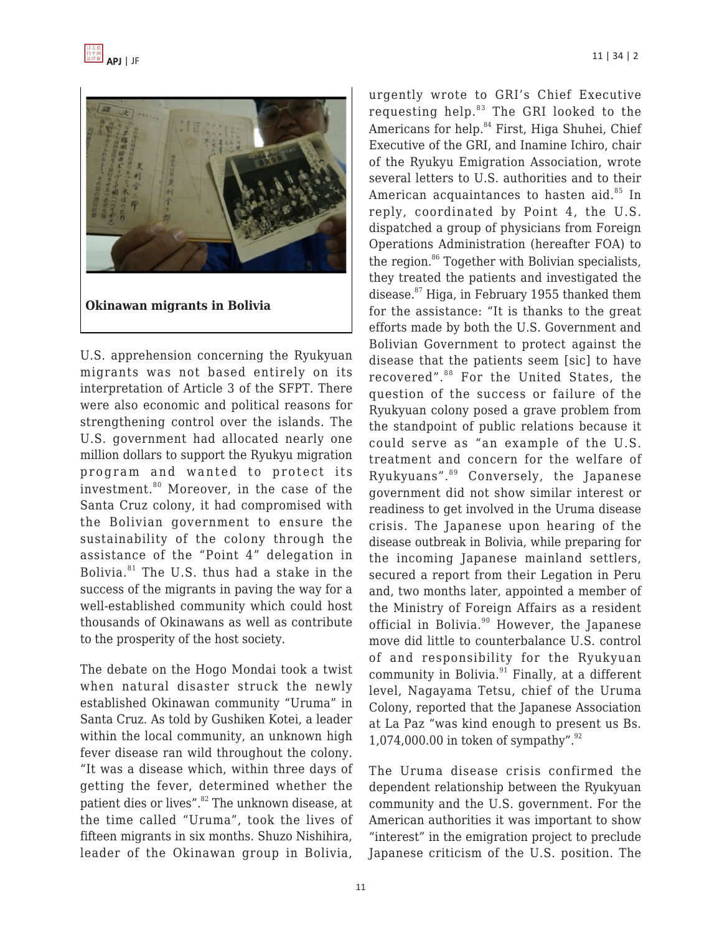

U.S. apprehension concerning the Ryukyuan migrants was not based entirely on its interpretation of Article 3 of the SFPT. There were also economic and political reasons for strengthening control over the islands. The U.S. government had allocated nearly one million dollars to support the Ryukyu migration program and wanted to protect its investment.<sup>80</sup> Moreover, in the case of the Santa Cruz colony, it had compromised with the Bolivian government to ensure the sustainability of the colony through the assistance of the "Point 4" delegation in Bolivia. $81$ <sup>81</sup> The U.S. thus had a stake in the success of the migrants in paving the way for a well-established community which could host thousands of Okinawans as well as contribute to the prosperity of the host society.

The debate on the Hogo Mondai took a twist when natural disaster struck the newly established Okinawan community "Uruma" in Santa Cruz. As told by Gushiken Kotei, a leader within the local community, an unknown high fever disease ran wild throughout the colony. "It was a disease which, within three days of getting the fever, determined whether the patient dies or lives".<sup>82</sup> The unknown disease, at the time called "Uruma", took the lives of fifteen migrants in six months. Shuzo Nishihira, leader of the Okinawan group in Bolivia,

urgently wrote to GRI's Chief Executive requesting help.<sup>83</sup> The GRI looked to the Americans for help.<sup>84</sup> First, Higa Shuhei, Chief Executive of the GRI, and Inamine Ichiro, chair of the Ryukyu Emigration Association, wrote several letters to U.S. authorities and to their American acquaintances to hasten aid.<sup>85</sup> In reply, coordinated by Point 4, the U.S. dispatched a group of physicians from Foreign Operations Administration (hereafter FOA) to the region.<sup>86</sup> Together with Bolivian specialists, they treated the patients and investigated the disease.<sup>87</sup> Higa, in February 1955 thanked them for the assistance: "It is thanks to the great efforts made by both the U.S. Government and Bolivian Government to protect against the disease that the patients seem [sic] to have recovered".<sup>88</sup> For the United States, the question of the success or failure of the Ryukyuan colony posed a grave problem from the standpoint of public relations because it could serve as "an example of the U.S. treatment and concern for the welfare of Ryukyuans".<sup>89</sup> Conversely, the Japanese government did not show similar interest or readiness to get involved in the Uruma disease crisis. The Japanese upon hearing of the disease outbreak in Bolivia, while preparing for the incoming Japanese mainland settlers, secured a report from their Legation in Peru and, two months later, appointed a member of the Ministry of Foreign Affairs as a resident official in Bolivia. $90$  However, the Japanese move did little to counterbalance U.S. control of and responsibility for the Ryukyuan community in Bolivia. $91$  Finally, at a different level, Nagayama Tetsu, chief of the Uruma Colony, reported that the Japanese Association at La Paz "was kind enough to present us Bs. 1,074,000.00 in token of sympathy". $92$ 

The Uruma disease crisis confirmed the dependent relationship between the Ryukyuan community and the U.S. government. For the American authorities it was important to show "interest" in the emigration project to preclude Japanese criticism of the U.S. position. The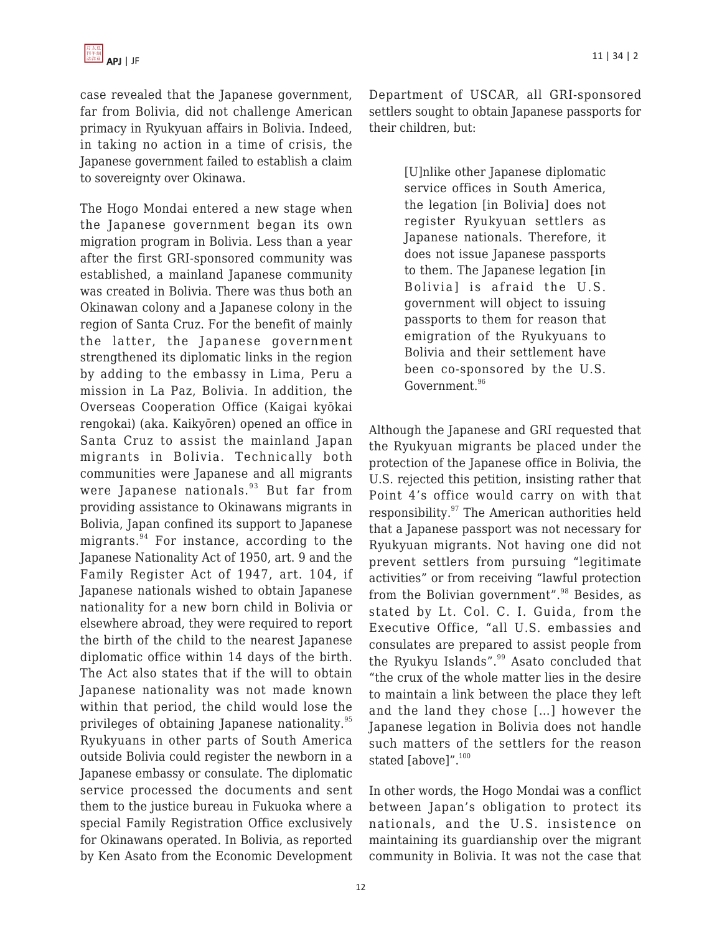case revealed that the Japanese government, far from Bolivia, did not challenge American primacy in Ryukyuan affairs in Bolivia. Indeed, in taking no action in a time of crisis, the Japanese government failed to establish a claim to sovereignty over Okinawa.

The Hogo Mondai entered a new stage when the Japanese government began its own migration program in Bolivia. Less than a year after the first GRI-sponsored community was established, a mainland Japanese community was created in Bolivia. There was thus both an Okinawan colony and a Japanese colony in the region of Santa Cruz. For the benefit of mainly the latter, the Japanese government strengthened its diplomatic links in the region by adding to the embassy in Lima, Peru a mission in La Paz, Bolivia. In addition, the Overseas Cooperation Office (Kaigai kyōkai rengokai) (aka. Kaikyōren) opened an office in Santa Cruz to assist the mainland Japan migrants in Bolivia. Technically both communities were Japanese and all migrants were Japanese nationals.<sup>93</sup> But far from providing assistance to Okinawans migrants in Bolivia, Japan confined its support to Japanese migrants. $94$  For instance, according to the Japanese Nationality Act of 1950, art. 9 and the Family Register Act of 1947, art. 104, if Japanese nationals wished to obtain Japanese nationality for a new born child in Bolivia or elsewhere abroad, they were required to report the birth of the child to the nearest Japanese diplomatic office within 14 days of the birth. The Act also states that if the will to obtain Japanese nationality was not made known within that period, the child would lose the privileges of obtaining Japanese nationality.<sup>95</sup> Ryukyuans in other parts of South America outside Bolivia could register the newborn in a Japanese embassy or consulate. The diplomatic service processed the documents and sent them to the justice bureau in Fukuoka where a special Family Registration Office exclusively for Okinawans operated. In Bolivia, as reported by Ken Asato from the Economic Development

Department of USCAR, all GRI-sponsored settlers sought to obtain Japanese passports for their children, but:

> [U]nlike other Japanese diplomatic service offices in South America, the legation [in Bolivia] does not register Ryukyuan settlers as Japanese nationals. Therefore, it does not issue Japanese passports to them. The Japanese legation [in Bolivia] is afraid the U.S. government will object to issuing passports to them for reason that emigration of the Ryukyuans to Bolivia and their settlement have been co-sponsored by the U.S. Government.<sup>96</sup>

Although the Japanese and GRI requested that the Ryukyuan migrants be placed under the protection of the Japanese office in Bolivia, the U.S. rejected this petition, insisting rather that Point 4's office would carry on with that responsibility.<sup>97</sup> The American authorities held that a Japanese passport was not necessary for Ryukyuan migrants. Not having one did not prevent settlers from pursuing "legitimate activities" or from receiving "lawful protection from the Bolivian government".<sup>98</sup> Besides, as stated by Lt. Col. C. I. Guida, from the Executive Office, "all U.S. embassies and consulates are prepared to assist people from the Ryukyu Islands".<sup>99</sup> Asato concluded that "the crux of the whole matter lies in the desire to maintain a link between the place they left and the land they chose […] however the Japanese legation in Bolivia does not handle such matters of the settlers for the reason stated [above]".<sup>100</sup>

In other words, the Hogo Mondai was a conflict between Japan's obligation to protect its nationals, and the U.S. insistence on maintaining its guardianship over the migrant community in Bolivia. It was not the case that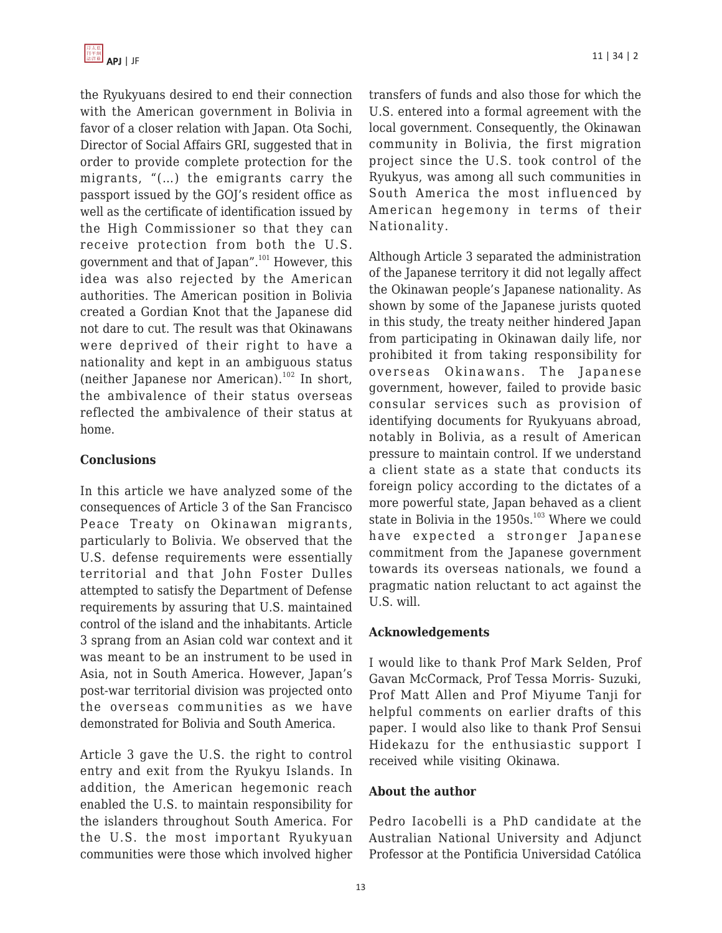the Ryukyuans desired to end their connection with the American government in Bolivia in favor of a closer relation with Japan. Ota Sochi, Director of Social Affairs GRI, suggested that in order to provide complete protection for the migrants, "(…) the emigrants carry the passport issued by the GOJ's resident office as well as the certificate of identification issued by the High Commissioner so that they can receive protection from both the U.S. government and that of Japan".<sup>101</sup> However, this idea was also rejected by the American authorities. The American position in Bolivia created a Gordian Knot that the Japanese did not dare to cut. The result was that Okinawans were deprived of their right to have a nationality and kept in an ambiguous status (neither Japanese nor American).<sup>102</sup> In short, the ambivalence of their status overseas reflected the ambivalence of their status at home.

## **Conclusions**

In this article we have analyzed some of the consequences of Article 3 of the San Francisco Peace Treaty on Okinawan migrants, particularly to Bolivia. We observed that the U.S. defense requirements were essentially territorial and that John Foster Dulles attempted to satisfy the Department of Defense requirements by assuring that U.S. maintained control of the island and the inhabitants. Article 3 sprang from an Asian cold war context and it was meant to be an instrument to be used in Asia, not in South America. However, Japan's post-war territorial division was projected onto the overseas communities as we have demonstrated for Bolivia and South America.

Article 3 gave the U.S. the right to control entry and exit from the Ryukyu Islands. In addition, the American hegemonic reach enabled the U.S. to maintain responsibility for the islanders throughout South America. For the U.S. the most important Ryukyuan communities were those which involved higher transfers of funds and also those for which the U.S. entered into a formal agreement with the local government. Consequently, the Okinawan community in Bolivia, the first migration project since the U.S. took control of the Ryukyus, was among all such communities in South America the most influenced by American hegemony in terms of their Nationality.

Although Article 3 separated the administration of the Japanese territory it did not legally affect the Okinawan people's Japanese nationality. As shown by some of the Japanese jurists quoted in this study, the treaty neither hindered Japan from participating in Okinawan daily life, nor prohibited it from taking responsibility for overseas Okinawans. The Japanese government, however, failed to provide basic consular services such as provision of identifying documents for Ryukyuans abroad, notably in Bolivia, as a result of American pressure to maintain control. If we understand a client state as a state that conducts its foreign policy according to the dictates of a more powerful state, Japan behaved as a client state in Bolivia in the  $1950s$ .<sup>103</sup> Where we could have expected a stronger Japanese commitment from the Japanese government towards its overseas nationals, we found a pragmatic nation reluctant to act against the U.S. will.

### **Acknowledgements**

I would like to thank Prof Mark Selden, Prof Gavan McCormack, Prof Tessa Morris- Suzuki, Prof Matt Allen and Prof Miyume Tanji for helpful comments on earlier drafts of this paper. I would also like to thank Prof Sensui Hidekazu for the enthusiastic support I received while visiting Okinawa.

### **About the author**

Pedro Iacobelli is a PhD candidate at the Australian National University and Adjunct Professor at the Pontificia Universidad Católica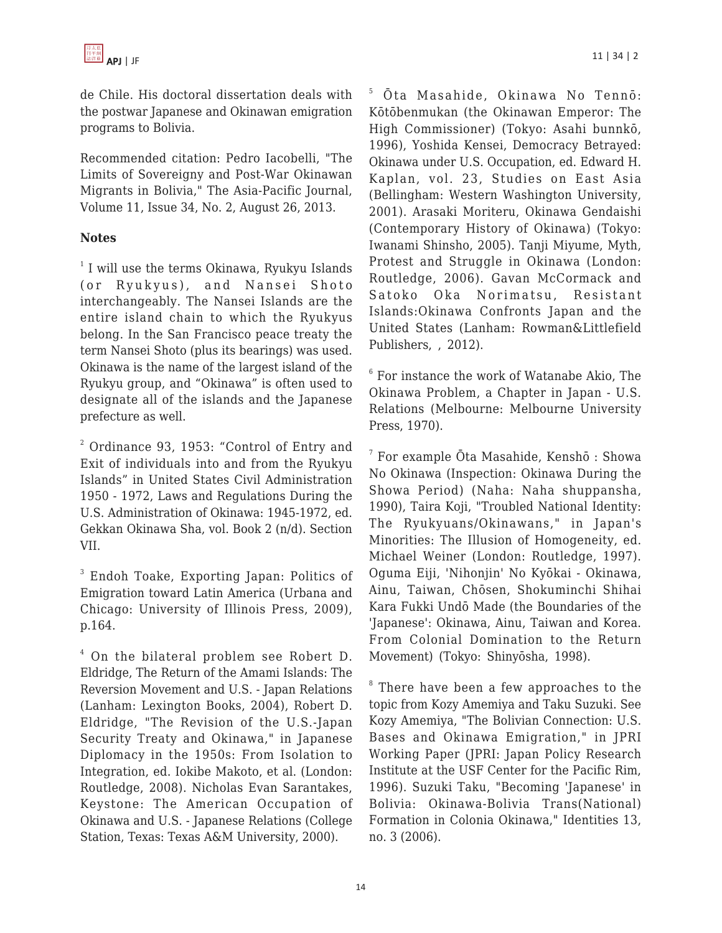de Chile. His doctoral dissertation deals with the postwar Japanese and Okinawan emigration programs to Bolivia.

Recommended citation: Pedro Iacobelli, "The Limits of Sovereigny and Post-War Okinawan Migrants in Bolivia," The Asia-Pacific Journal, Volume 11, Issue 34, No. 2, August 26, 2013.

### **Notes**

<sup>1</sup> I will use the terms Okinawa, Ryukyu Islands (or Ryukyus), and Nansei Shoto interchangeably. The Nansei Islands are the entire island chain to which the Ryukyus belong. In the San Francisco peace treaty the term Nansei Shoto (plus its bearings) was used. Okinawa is the name of the largest island of the Ryukyu group, and "Okinawa" is often used to designate all of the islands and the Japanese prefecture as well.

 $^2$  Ordinance 93, 1953: "Control of Entry and Exit of individuals into and from the Ryukyu Islands" in United States Civil Administration 1950 - 1972, Laws and Regulations During the U.S. Administration of Okinawa: 1945-1972, ed. Gekkan Okinawa Sha, vol. Book 2 (n/d). Section VII.

<sup>3</sup> Endoh Toake, Exporting Japan: Politics of Emigration toward Latin America (Urbana and Chicago: University of Illinois Press, 2009), p.164.

4 On the bilateral problem see Robert D. Eldridge, The Return of the Amami Islands: The Reversion Movement and U.S. - Japan Relations (Lanham: Lexington Books, 2004), Robert D. Eldridge, "The Revision of the U.S.-Japan Security Treaty and Okinawa," in Japanese Diplomacy in the 1950s: From Isolation to Integration, ed. Iokibe Makoto, et al. (London: Routledge, 2008). Nicholas Evan Sarantakes, Keystone: The American Occupation of Okinawa and U.S. - Japanese Relations (College Station, Texas: Texas A&M University, 2000).

5 Ōta Masahide, Okinawa No Tennō: Kōtōbenmukan (the Okinawan Emperor: The High Commissioner) (Tokyo: Asahi bunnkō, 1996), Yoshida Kensei, Democracy Betrayed: Okinawa under U.S. Occupation, ed. Edward H. Kaplan, vol. 23, Studies on East Asia (Bellingham: Western Washington University, 2001). Arasaki Moriteru, Okinawa Gendaishi (Contemporary History of Okinawa) (Tokyo: Iwanami Shinsho, 2005). Tanji Miyume, Myth, Protest and Struggle in Okinawa (London: Routledge, 2006). Gavan McCormack and Satoko Oka Norimatsu, Resistant Islands:Okinawa Confronts Japan and the United States (Lanham: Rowman&Littlefield Publishers, , 2012).

 $6$  For instance the work of Watanabe Akio, The Okinawa Problem, a Chapter in Japan - U.S. Relations (Melbourne: Melbourne University Press, 1970).

 $^7$  For example Ōta Masahide, Kenshō : Showa No Okinawa (Inspection: Okinawa During the Showa Period) (Naha: Naha shuppansha, 1990), Taira Koji, "Troubled National Identity: The Ryukyuans/Okinawans," in Japan's Minorities: The Illusion of Homogeneity, ed. Michael Weiner (London: Routledge, 1997). Oguma Eiji, 'Nihonjin' No Kyōkai - Okinawa, Ainu, Taiwan, Chōsen, Shokuminchi Shihai Kara Fukki Undō Made (the Boundaries of the 'Japanese': Okinawa, Ainu, Taiwan and Korea. From Colonial Domination to the Return Movement) (Tokyo: Shinyōsha, 1998).

<sup>8</sup> There have been a few approaches to the topic from Kozy Amemiya and Taku Suzuki. See Kozy Amemiya, "The Bolivian Connection: U.S. Bases and Okinawa Emigration," in JPRI Working Paper (JPRI: Japan Policy Research Institute at the USF Center for the Pacific Rim, 1996). Suzuki Taku, "Becoming 'Japanese' in Bolivia: Okinawa-Bolivia Trans(National) Formation in Colonia Okinawa," Identities 13, no. 3 (2006).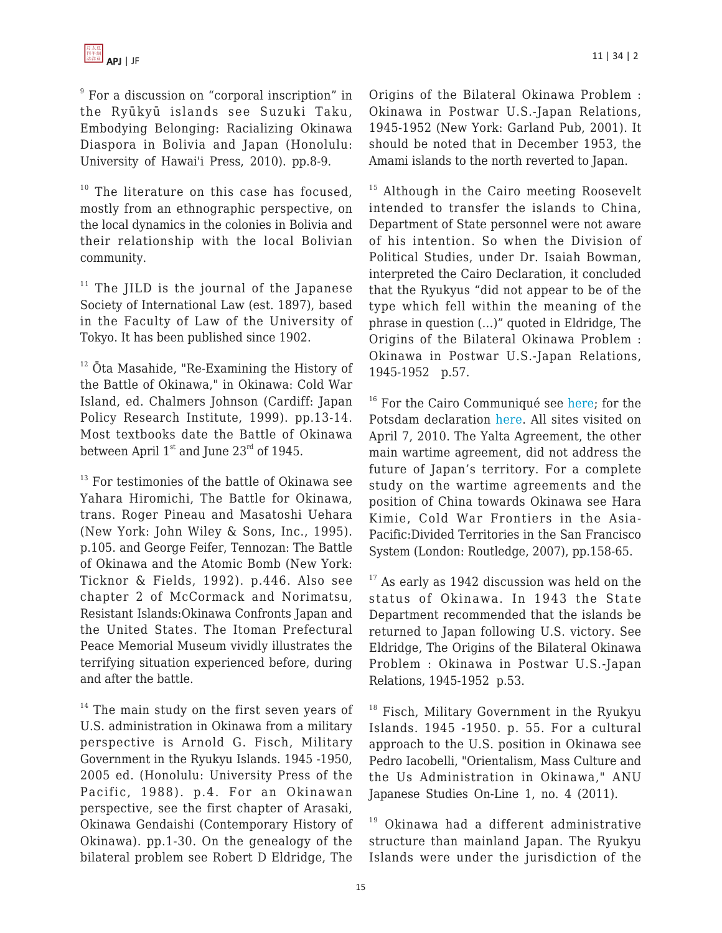9 For a discussion on "corporal inscription" in the Ryūkyū islands see Suzuki Taku, Embodying Belonging: Racializing Okinawa Diaspora in Bolivia and Japan (Honolulu: University of Hawai'i Press, 2010). pp.8-9.

 $10$  The literature on this case has focused, mostly from an ethnographic perspective, on the local dynamics in the colonies in Bolivia and their relationship with the local Bolivian community.

 $11$  The JILD is the journal of the Japanese Society of International Law (est. 1897), based in the Faculty of Law of the University of Tokyo. It has been published since 1902.

 $12$   $\bar{O}$ ta Masahide, "Re-Examining the History of the Battle of Okinawa," in Okinawa: Cold War Island, ed. Chalmers Johnson (Cardiff: Japan Policy Research Institute, 1999). pp.13-14. Most textbooks date the Battle of Okinawa between April  $1<sup>st</sup>$  and June  $23<sup>rd</sup>$  of 1945.

 $13$  For testimonies of the battle of Okinawa see Yahara Hiromichi, The Battle for Okinawa, trans. Roger Pineau and Masatoshi Uehara (New York: John Wiley & Sons, Inc., 1995). p.105. and George Feifer, Tennozan: The Battle of Okinawa and the Atomic Bomb (New York: Ticknor & Fields, 1992). p.446. Also see chapter 2 of McCormack and Norimatsu, Resistant Islands:Okinawa Confronts Japan and the United States. The Itoman Prefectural Peace Memorial Museum vividly illustrates the terrifying situation experienced before, during and after the battle.

 $14$  The main study on the first seven years of U.S. administration in Okinawa from a military perspective is Arnold G. Fisch, Military Government in the Ryukyu Islands. 1945 -1950, 2005 ed. (Honolulu: University Press of the Pacific, 1988). p.4. For an Okinawan perspective, see the first chapter of Arasaki, Okinawa Gendaishi (Contemporary History of Okinawa). pp.1-30. On the genealogy of the bilateral problem see Robert D Eldridge, The Origins of the Bilateral Okinawa Problem : Okinawa in Postwar U.S.-Japan Relations, 1945-1952 (New York: Garland Pub, 2001). It should be noted that in December 1953, the Amami islands to the north reverted to Japan.

 $15$  Although in the Cairo meeting Roosevelt intended to transfer the islands to China, Department of State personnel were not aware of his intention. So when the Division of Political Studies, under Dr. Isaiah Bowman, interpreted the Cairo Declaration, it concluded that the Ryukyus "did not appear to be of the type which fell within the meaning of the phrase in question (…)" quoted in Eldridge, The Origins of the Bilateral Okinawa Problem : Okinawa in Postwar U.S.-Japan Relations, 1945-1952 p.57.

<sup>16</sup> For the Cairo Communiqué see [here](http://www.ndl.go.jp/constitution/e/shiryo/01/002_46/002_46tx.html); for the Potsdam declaration [here](http://www.international.ucla.edu/eas/documents/potsdam.htm). All sites visited on April 7, 2010. The Yalta Agreement, the other main wartime agreement, did not address the future of Japan's territory. For a complete study on the wartime agreements and the position of China towards Okinawa see Hara Kimie, Cold War Frontiers in the Asia-Pacific:Divided Territories in the San Francisco System (London: Routledge, 2007), pp.158-65.

 $17$  As early as 1942 discussion was held on the status of Okinawa. In 1943 the State Department recommended that the islands be returned to Japan following U.S. victory. See Eldridge, The Origins of the Bilateral Okinawa Problem : Okinawa in Postwar U.S.-Japan Relations, 1945-1952 p.53.

<sup>18</sup> Fisch, Military Government in the Ryukyu Islands. 1945 -1950. p. 55. For a cultural approach to the U.S. position in Okinawa see Pedro Iacobelli, "Orientalism, Mass Culture and the Us Administration in Okinawa," ANU Japanese Studies On-Line 1, no. 4 (2011).

 $19$  Okinawa had a different administrative structure than mainland Japan. The Ryukyu Islands were under the jurisdiction of the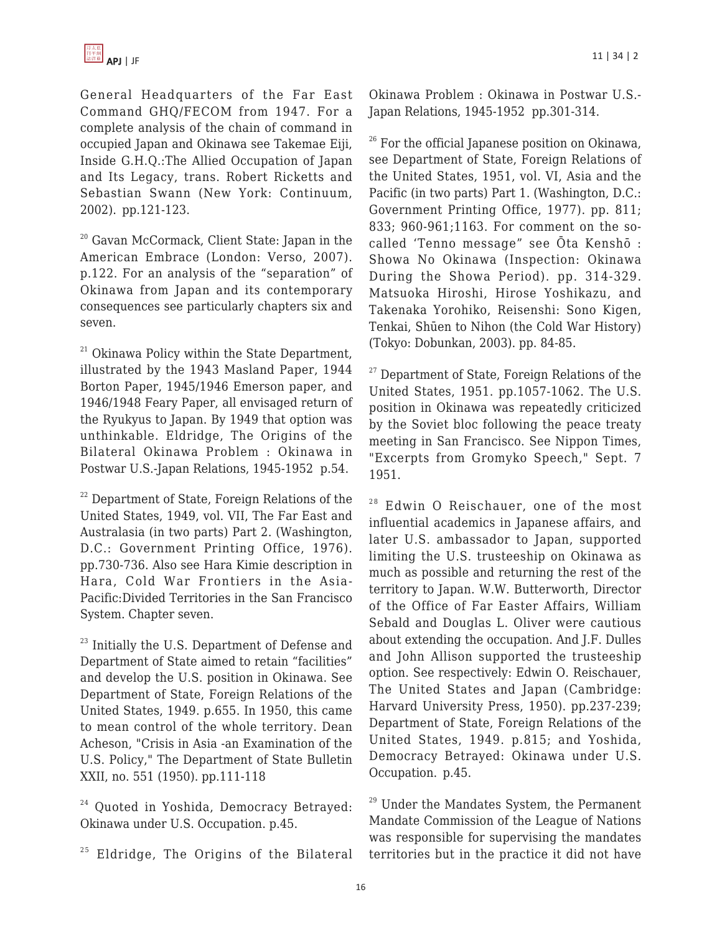General Headquarters of the Far East Command GHQ/FECOM from 1947. For a complete analysis of the chain of command in occupied Japan and Okinawa see Takemae Eiji, Inside G.H.Q.:The Allied Occupation of Japan and Its Legacy, trans. Robert Ricketts and Sebastian Swann (New York: Continuum, 2002). pp.121-123.

<sup>20</sup> Gavan McCormack, Client State: Japan in the American Embrace (London: Verso, 2007). p.122. For an analysis of the "separation" of Okinawa from Japan and its contemporary consequences see particularly chapters six and seven.

 $21$  Okinawa Policy within the State Department, illustrated by the 1943 Masland Paper, 1944 Borton Paper, 1945/1946 Emerson paper, and 1946/1948 Feary Paper, all envisaged return of the Ryukyus to Japan. By 1949 that option was unthinkable. Eldridge, The Origins of the Bilateral Okinawa Problem : Okinawa in Postwar U.S.-Japan Relations, 1945-1952 p.54.

 $22$  Department of State, Foreign Relations of the United States, 1949, vol. VII, The Far East and Australasia (in two parts) Part 2. (Washington, D.C.: Government Printing Office, 1976). pp.730-736. Also see Hara Kimie description in Hara, Cold War Frontiers in the Asia-Pacific:Divided Territories in the San Francisco System. Chapter seven.

 $23$  Initially the U.S. Department of Defense and Department of State aimed to retain "facilities" and develop the U.S. position in Okinawa. See Department of State, Foreign Relations of the United States, 1949. p.655. In 1950, this came to mean control of the whole territory. Dean Acheson, "Crisis in Asia -an Examination of the U.S. Policy," The Department of State Bulletin XXII, no. 551 (1950). pp.111-118

<sup>24</sup> Quoted in Yoshida, Democracy Betrayed: Okinawa under U.S. Occupation. p.45.

 $25$  Eldridge, The Origins of the Bilateral

Okinawa Problem : Okinawa in Postwar U.S.- Japan Relations, 1945-1952 pp.301-314.

 $26$  For the official Japanese position on Okinawa, see Department of State, Foreign Relations of the United States, 1951, vol. VI, Asia and the Pacific (in two parts) Part 1. (Washington, D.C.: Government Printing Office, 1977). pp. 811; 833; 960-961;1163. For comment on the socalled 'Tenno message" see Ōta Kenshō : Showa No Okinawa (Inspection: Okinawa During the Showa Period). pp. 314-329. Matsuoka Hiroshi, Hirose Yoshikazu, and Takenaka Yorohiko, Reisenshi: Sono Kigen, Tenkai, Shūen to Nihon (the Cold War History) (Tokyo: Dobunkan, 2003). pp. 84-85.

 $27$  Department of State, Foreign Relations of the United States, 1951. pp.1057-1062. The U.S. position in Okinawa was repeatedly criticized by the Soviet bloc following the peace treaty meeting in San Francisco. See Nippon Times, "Excerpts from Gromyko Speech," Sept. 7 1951.

 $28$  Edwin O Reischauer, one of the most influential academics in Japanese affairs, and later U.S. ambassador to Japan, supported limiting the U.S. trusteeship on Okinawa as much as possible and returning the rest of the territory to Japan. W.W. Butterworth, Director of the Office of Far Easter Affairs, William Sebald and Douglas L. Oliver were cautious about extending the occupation. And J.F. Dulles and John Allison supported the trusteeship option. See respectively: Edwin O. Reischauer, The United States and Japan (Cambridge: Harvard University Press, 1950). pp.237-239; Department of State, Foreign Relations of the United States, 1949. p.815; and Yoshida, Democracy Betrayed: Okinawa under U.S. Occupation. p.45.

 $29$  Under the Mandates System, the Permanent Mandate Commission of the League of Nations was responsible for supervising the mandates territories but in the practice it did not have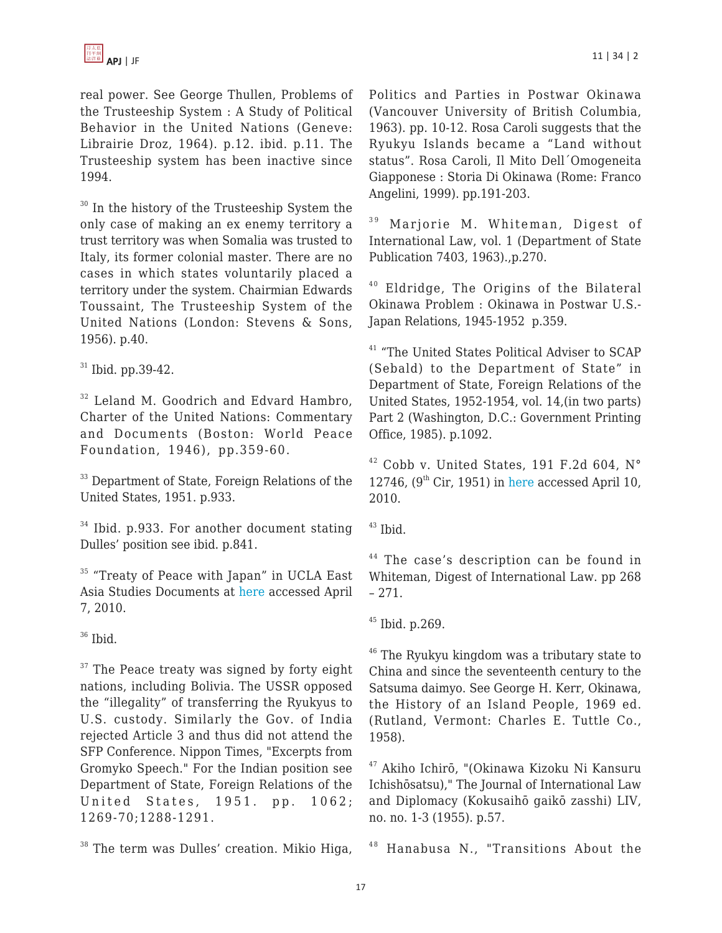real power. See George Thullen, Problems of the Trusteeship System : A Study of Political Behavior in the United Nations (Geneve: Librairie Droz, 1964). p.12. ibid. p.11. The Trusteeship system has been inactive since 1994.

<sup>30</sup> In the history of the Trusteeship System the only case of making an ex enemy territory a trust territory was when Somalia was trusted to Italy, its former colonial master. There are no cases in which states voluntarily placed a territory under the system. Chairmian Edwards Toussaint, The Trusteeship System of the United Nations (London: Stevens & Sons, 1956). p.40.

 $31$  Ibid. pp. 39-42.

<sup>32</sup> Leland M. Goodrich and Edvard Hambro, Charter of the United Nations: Commentary and Documents (Boston: World Peace Foundation, 1946), pp.359-60.

<sup>33</sup> Department of State, Foreign Relations of the United States, 1951. p.933.

 $34$  Ibid. p.933. For another document stating Dulles' position see ibid. p.841.

<sup>35</sup> "Treaty of Peace with Japan" in UCLA East Asia Studies Documents at [here](http://www.international.ucla.edu/eas/documents/peace1951.htm) accessed April 7, 2010.

 $36$  Ibid.

 $37$  The Peace treaty was signed by forty eight nations, including Bolivia. The USSR opposed the "illegality" of transferring the Ryukyus to U.S. custody. Similarly the Gov. of India rejected Article 3 and thus did not attend the SFP Conference. Nippon Times, "Excerpts from Gromyko Speech." For the Indian position see Department of State, Foreign Relations of the United States, 1951. pp. 1062; 1269-70;1288-1291.

Politics and Parties in Postwar Okinawa (Vancouver University of British Columbia, 1963). pp. 10-12. Rosa Caroli suggests that the Ryukyu Islands became a "Land without status". Rosa Caroli, Il Mito Dell´Omogeneita Giapponese : Storia Di Okinawa (Rome: Franco Angelini, 1999). pp.191-203.

<sup>39</sup> Marjorie M. Whiteman, Digest of International Law, vol. 1 (Department of State Publication 7403, 1963).,p.270.

<sup>40</sup> Eldridge, The Origins of the Bilateral Okinawa Problem : Okinawa in Postwar U.S.- Japan Relations, 1945-1952 p.359.

<sup>41</sup> "The United States Political Adviser to SCAP (Sebald) to the Department of State" in Department of State, Foreign Relations of the United States, 1952-1954, vol. 14,(in two parts) Part 2 (Washington, D.C.: Government Printing Office, 1985). p.1092.

 $42$  Cobb v. United States, 191 F.2d 604, N° 12746,  $(9<sup>th</sup> Cir, 1951)$  in [here](http://ftp.resource.org/courts.gov/c/F2/191/191.F2d.604.12746_1.html) accessed April 10, 2010.

 $43$  Ibid.

<sup>44</sup> The case's description can be found in Whiteman, Digest of International Law. pp 268  $-271.$ 

 $45$  Ibid. p. 269.

<sup>46</sup> The Ryukyu kingdom was a tributary state to China and since the seventeenth century to the Satsuma daimyo. See George H. Kerr, Okinawa, the History of an Island People, 1969 ed. (Rutland, Vermont: Charles E. Tuttle Co., 1958).

<sup>47</sup> Akiho Ichirō, "(Okinawa Kizoku Ni Kansuru Ichishōsatsu)," The Journal of International Law and Diplomacy (Kokusaihō gaikō zasshi) LIV, no. no. 1-3 (1955). p.57.

 $48$  Hanabusa N., "Transitions About the

<sup>&</sup>lt;sup>38</sup> The term was Dulles' creation. Mikio Higa,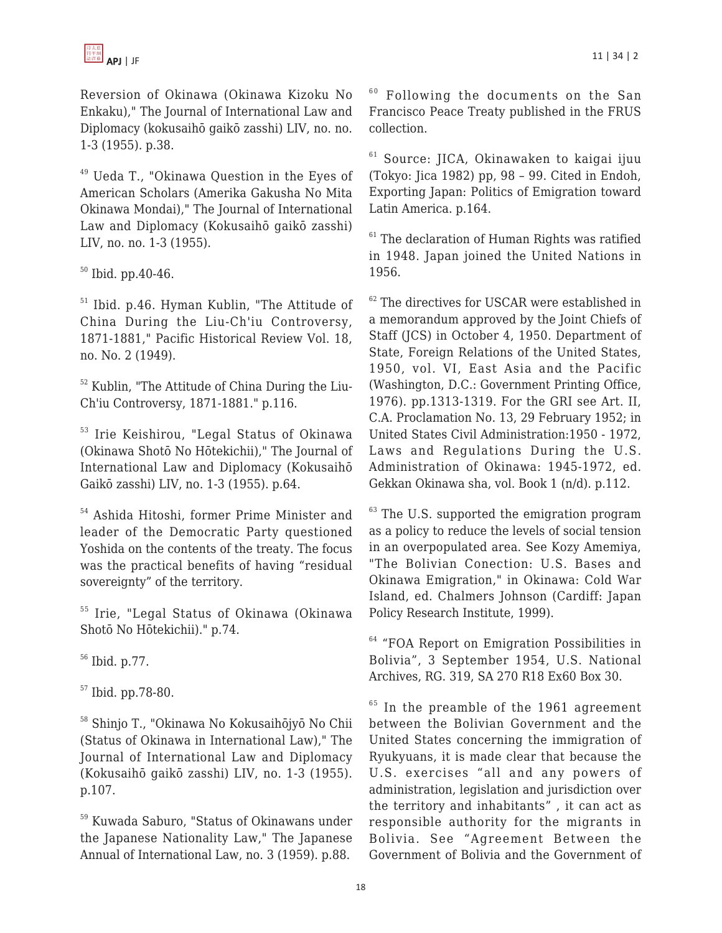

Reversion of Okinawa (Okinawa Kizoku No Enkaku)," The Journal of International Law and Diplomacy (kokusaihō gaikō zasshi) LIV, no. no. 1-3 (1955). p.38.

<sup>49</sup> Ueda T., "Okinawa Question in the Eyes of American Scholars (Amerika Gakusha No Mita Okinawa Mondai)," The Journal of International Law and Diplomacy (Kokusaihō gaikō zasshi) LIV, no. no. 1-3 (1955).

 $50$  Ibid. pp.40-46.

<sup>51</sup> Ibid. p.46. Hyman Kublin, "The Attitude of China During the Liu-Ch'iu Controversy, 1871-1881," Pacific Historical Review Vol. 18, no. No. 2 (1949).

<sup>52</sup> Kublin, "The Attitude of China During the Liu-Ch'iu Controversy, 1871-1881." p.116.

<sup>53</sup> Irie Keishirou, "Legal Status of Okinawa (Okinawa Shotō No Hōtekichii)," The Journal of International Law and Diplomacy (Kokusaihō Gaikō zasshi) LIV, no. 1-3 (1955). p.64.

<sup>54</sup> Ashida Hitoshi, former Prime Minister and leader of the Democratic Party questioned Yoshida on the contents of the treaty. The focus was the practical benefits of having "residual sovereignty" of the territory.

<sup>55</sup> Irie, "Legal Status of Okinawa (Okinawa Shotō No Hōtekichii)." p.74.

<sup>56</sup> Ibid. p.77.

<sup>57</sup> Ibid. pp.78-80.

<sup>58</sup> Shinjo T., "Okinawa No Kokusaihōjyō No Chii (Status of Okinawa in International Law)," The Journal of International Law and Diplomacy (Kokusaihō gaikō zasshi) LIV, no. 1-3 (1955). p.107.

<sup>59</sup> Kuwada Saburo, "Status of Okinawans under the Japanese Nationality Law," The Japanese Annual of International Law, no. 3 (1959). p.88.

 $60$  Following the documents on the San Francisco Peace Treaty published in the FRUS collection.

 $61$  Source: JICA, Okinawaken to kaigai ijuu (Tokyo: Jica 1982) pp, 98 – 99. Cited in Endoh, Exporting Japan: Politics of Emigration toward Latin America. p.164.

 $61$  The declaration of Human Rights was ratified in 1948. Japan joined the United Nations in 1956.

 $62$  The directives for USCAR were established in a memorandum approved by the Joint Chiefs of Staff (JCS) in October 4, 1950. Department of State, Foreign Relations of the United States, 1950, vol. VI, East Asia and the Pacific (Washington, D.C.: Government Printing Office, 1976). pp.1313-1319. For the GRI see Art. II, C.A. Proclamation No. 13, 29 February 1952; in United States Civil Administration:1950 - 1972, Laws and Regulations During the U.S. Administration of Okinawa: 1945-1972, ed. Gekkan Okinawa sha, vol. Book 1 (n/d). p.112.

 $63$  The U.S. supported the emigration program as a policy to reduce the levels of social tension in an overpopulated area. See Kozy Amemiya, "The Bolivian Conection: U.S. Bases and Okinawa Emigration," in Okinawa: Cold War Island, ed. Chalmers Johnson (Cardiff: Japan Policy Research Institute, 1999).

 $64$  "FOA Report on Emigration Possibilities in Bolivia", 3 September 1954, U.S. National Archives, RG. 319, SA 270 R18 Ex60 Box 30.

 $65$  In the preamble of the 1961 agreement between the Bolivian Government and the United States concerning the immigration of Ryukyuans, it is made clear that because the U.S. exercises "all and any powers of administration, legislation and jurisdiction over the territory and inhabitants" , it can act as responsible authority for the migrants in Bolivia. See "Agreement Between the Government of Bolivia and the Government of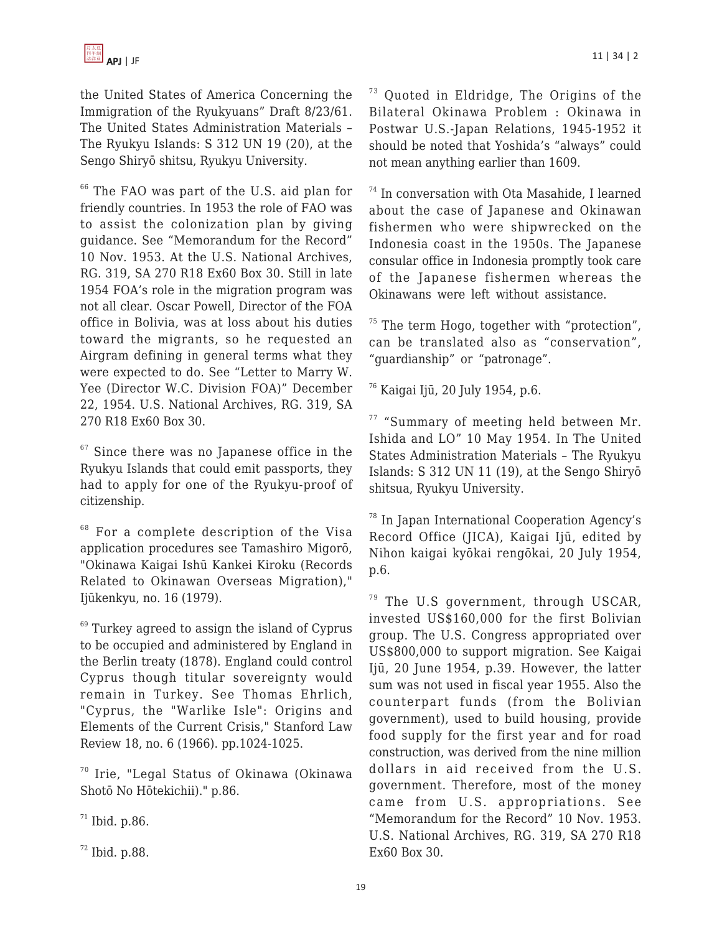the United States of America Concerning the Immigration of the Ryukyuans" Draft 8/23/61. The United States Administration Materials – The Ryukyu Islands: S 312 UN 19 (20), at the Sengo Shiryō shitsu, Ryukyu University.

<sup>66</sup> The FAO was part of the U.S. aid plan for friendly countries. In 1953 the role of FAO was to assist the colonization plan by giving guidance. See "Memorandum for the Record" 10 Nov. 1953. At the U.S. National Archives, RG. 319, SA 270 R18 Ex60 Box 30. Still in late 1954 FOA's role in the migration program was not all clear. Oscar Powell, Director of the FOA office in Bolivia, was at loss about his duties toward the migrants, so he requested an Airgram defining in general terms what they were expected to do. See "Letter to Marry W. Yee (Director W.C. Division FOA)" December 22, 1954. U.S. National Archives, RG. 319, SA 270 R18 Ex60 Box 30.

 $67$  Since there was no Japanese office in the Ryukyu Islands that could emit passports, they had to apply for one of the Ryukyu-proof of citizenship.

<sup>68</sup> For a complete description of the Visa application procedures see Tamashiro Migorō, "Okinawa Kaigai Ishū Kankei Kiroku (Records Related to Okinawan Overseas Migration)," Ijūkenkyu, no. 16 (1979).

 $69$  Turkey agreed to assign the island of Cyprus to be occupied and administered by England in the Berlin treaty (1878). England could control Cyprus though titular sovereignty would remain in Turkey. See Thomas Ehrlich, "Cyprus, the "Warlike Isle": Origins and Elements of the Current Crisis," Stanford Law Review 18, no. 6 (1966). pp.1024-1025.

<sup>70</sup> Irie, "Legal Status of Okinawa (Okinawa Shotō No Hōtekichii)." p.86.

 $71$  Ibid. p.86.

 $72$  Ibid. p.88.

<sup>73</sup> Ouoted in Eldridge, The Origins of the Bilateral Okinawa Problem : Okinawa in Postwar U.S.-Japan Relations, 1945-1952 it should be noted that Yoshida's "always" could not mean anything earlier than 1609.

<sup>74</sup> In conversation with Ota Masahide, I learned about the case of Japanese and Okinawan fishermen who were shipwrecked on the Indonesia coast in the 1950s. The Japanese consular office in Indonesia promptly took care of the Japanese fishermen whereas the Okinawans were left without assistance.

 $75$  The term Hogo, together with "protection", can be translated also as "conservation", "guardianship" or "patronage".

<sup>76</sup> Kaigai Ijū, 20 July 1954, p.6.

<sup>77</sup> "Summary of meeting held between Mr. Ishida and LO" 10 May 1954. In The United States Administration Materials – The Ryukyu Islands: S 312 UN 11 (19), at the Sengo Shiryō shitsua, Ryukyu University.

<sup>78</sup> In Japan International Cooperation Agency's Record Office (JICA), Kaigai Ijū, edited by Nihon kaigai kyōkai rengōkai, 20 July 1954, p.6.

 $79$  The U.S government, through USCAR, invested US\$160,000 for the first Bolivian group. The U.S. Congress appropriated over US\$800,000 to support migration. See Kaigai Ijū, 20 June 1954, p.39. However, the latter sum was not used in fiscal year 1955. Also the counterpart funds (from the Bolivian government), used to build housing, provide food supply for the first year and for road construction, was derived from the nine million dollars in aid received from the U.S. government. Therefore, most of the money came from U.S. appropriations. See "Memorandum for the Record" 10 Nov. 1953. U.S. National Archives, RG. 319, SA 270 R18 Ex60 Box 30.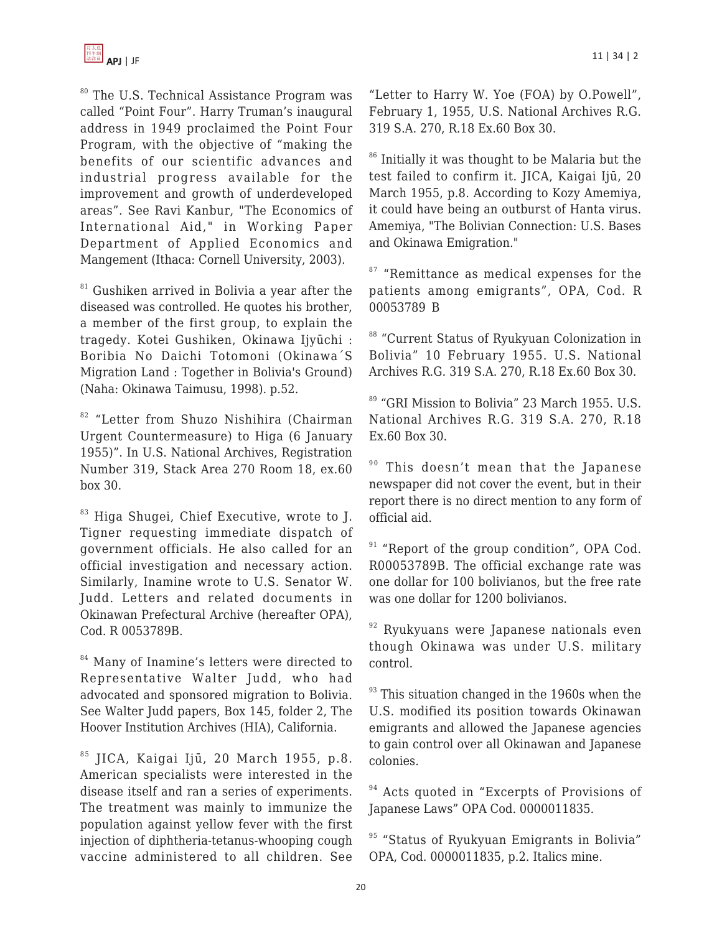

<sup>80</sup> The U.S. Technical Assistance Program was called "Point Four". Harry Truman's inaugural address in 1949 proclaimed the Point Four Program, with the objective of "making the benefits of our scientific advances and industrial progress available for the improvement and growth of underdeveloped areas". See Ravi Kanbur, "The Economics of International Aid," in Working Paper Department of Applied Economics and Mangement (Ithaca: Cornell University, 2003).

<sup>81</sup> Gushiken arrived in Bolivia a year after the diseased was controlled. He quotes his brother, a member of the first group, to explain the tragedy. Kotei Gushiken, Okinawa Ijyūchi : Boribia No Daichi Totomoni (Okinawa´S Migration Land : Together in Bolivia's Ground) (Naha: Okinawa Taimusu, 1998). p.52.

<sup>82</sup> "Letter from Shuzo Nishihira (Chairman Urgent Countermeasure) to Higa (6 January 1955)". In U.S. National Archives, Registration Number 319, Stack Area 270 Room 18, ex.60 box 30.

<sup>83</sup> Higa Shugei, Chief Executive, wrote to J. Tigner requesting immediate dispatch of government officials. He also called for an official investigation and necessary action. Similarly, Inamine wrote to U.S. Senator W. Judd. Letters and related documents in Okinawan Prefectural Archive (hereafter OPA), Cod. R 0053789B.

<sup>84</sup> Many of Inamine's letters were directed to Representative Walter Judd, who had advocated and sponsored migration to Bolivia. See Walter Judd papers, Box 145, folder 2, The Hoover Institution Archives (HIA), California.

 $85$  JICA, Kaigai Ijū, 20 March 1955, p.8. American specialists were interested in the disease itself and ran a series of experiments. The treatment was mainly to immunize the population against yellow fever with the first injection of diphtheria-tetanus-whooping cough vaccine administered to all children. See "Letter to Harry W. Yoe (FOA) by O.Powell", February 1, 1955, U.S. National Archives R.G. 319 S.A. 270, R.18 Ex.60 Box 30.

<sup>86</sup> Initially it was thought to be Malaria but the test failed to confirm it. JICA, Kaigai Ijū, 20 March 1955, p.8. According to Kozy Amemiya, it could have being an outburst of Hanta virus. Amemiya, "The Bolivian Connection: U.S. Bases and Okinawa Emigration."

<sup>87</sup> "Remittance as medical expenses for the patients among emigrants", OPA, Cod. R 00053789 B

88 "Current Status of Ryukyuan Colonization in Bolivia" 10 February 1955. U.S. National Archives R.G. 319 S.A. 270, R.18 Ex.60 Box 30.

<sup>89</sup> "GRI Mission to Bolivia" 23 March 1955. U.S. National Archives R.G. 319 S.A. 270, R.18 Ex.60 Box 30.

 $90$  This doesn't mean that the Japanese newspaper did not cover the event, but in their report there is no direct mention to any form of official aid.

<sup>91</sup> "Report of the group condition", OPA Cod. R00053789B. The official exchange rate was one dollar for 100 bolivianos, but the free rate was one dollar for 1200 bolivianos.

 $92$  Ryukyuans were Japanese nationals even though Okinawa was under U.S. military control.

 $93$  This situation changed in the 1960s when the U.S. modified its position towards Okinawan emigrants and allowed the Japanese agencies to gain control over all Okinawan and Japanese colonies.

<sup>94</sup> Acts quoted in "Excerpts of Provisions of Japanese Laws" OPA Cod. 0000011835.

<sup>95</sup> "Status of Ryukyuan Emigrants in Bolivia" OPA, Cod. 0000011835, p.2. Italics mine.